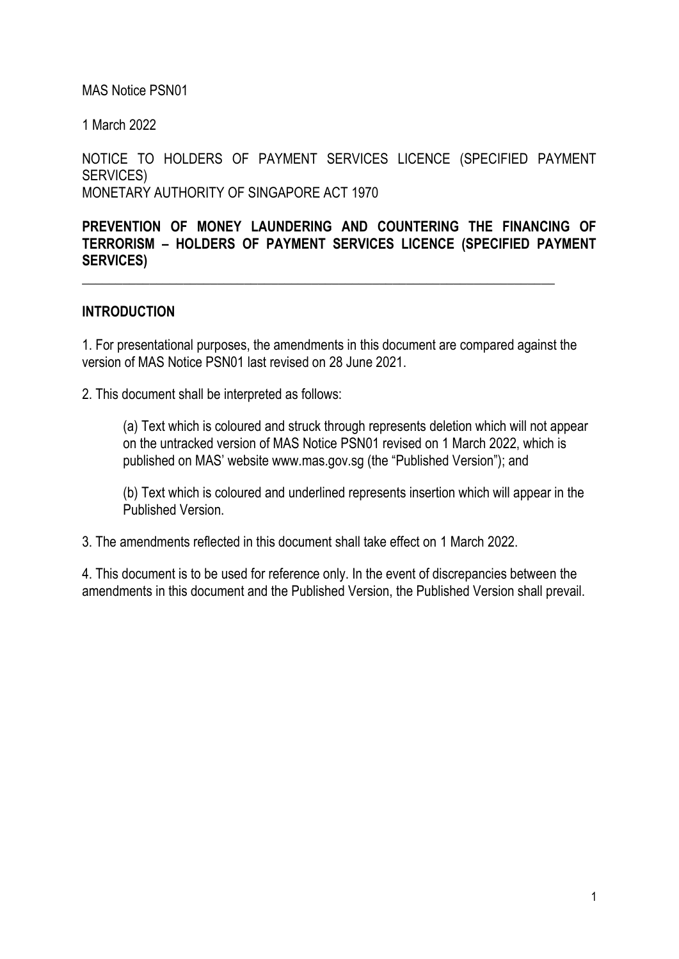## MAS Notice PSN01

1 March 2022

NOTICE TO HOLDERS OF PAYMENT SERVICES LICENCE (SPECIFIED PAYMENT SERVICES) MONETARY AUTHORITY OF SINGAPORE ACT 1970

**PREVENTION OF MONEY LAUNDERING AND COUNTERING THE FINANCING OF TERRORISM – HOLDERS OF PAYMENT SERVICES LICENCE (SPECIFIED PAYMENT SERVICES)**

## **INTRODUCTION**

1. For presentational purposes, the amendments in this document are compared against the version of MAS Notice PSN01 last revised on 28 June 2021.

\_\_\_\_\_\_\_\_\_\_\_\_\_\_\_\_\_\_\_\_\_\_\_\_\_\_\_\_\_\_\_\_\_\_\_\_\_\_\_\_\_\_\_\_\_\_\_\_\_\_\_\_\_\_\_\_\_\_\_\_\_\_\_\_\_\_\_\_\_\_

2. This document shall be interpreted as follows:

(a) Text which is coloured and struck through represents deletion which will not appear on the untracked version of MAS Notice PSN01 revised on 1 March 2022, which is published on MAS' website www.mas.gov.sg (the "Published Version"); and

(b) Text which is coloured and underlined represents insertion which will appear in the Published Version.

3. The amendments reflected in this document shall take effect on 1 March 2022.

4. This document is to be used for reference only. In the event of discrepancies between the amendments in this document and the Published Version, the Published Version shall prevail.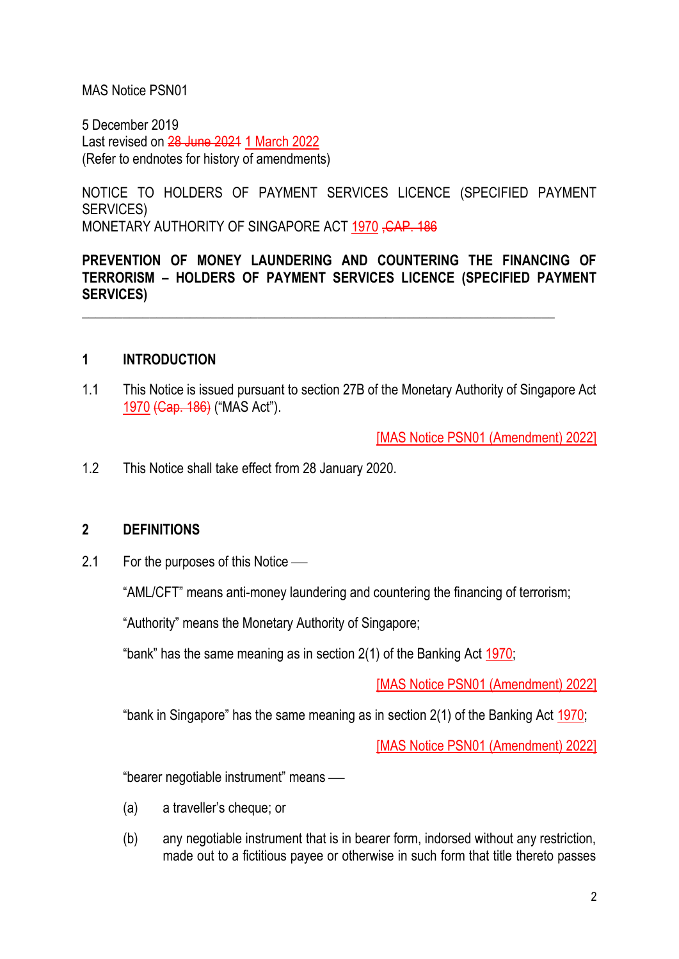#### MAS Notice PSN01

5 December 2019 Last revised on 28 June 2021 1 March 2022 (Refer to endnotes for history of amendments)

NOTICE TO HOLDERS OF PAYMENT SERVICES LICENCE (SPECIFIED PAYMENT SERVICES) MONETARY AUTHORITY OF SINGAPORE ACT 1970, CAP. 186

**PREVENTION OF MONEY LAUNDERING AND COUNTERING THE FINANCING OF TERRORISM – HOLDERS OF PAYMENT SERVICES LICENCE (SPECIFIED PAYMENT SERVICES)**

\_\_\_\_\_\_\_\_\_\_\_\_\_\_\_\_\_\_\_\_\_\_\_\_\_\_\_\_\_\_\_\_\_\_\_\_\_\_\_\_\_\_\_\_\_\_\_\_\_\_\_\_\_\_\_\_\_\_\_\_\_\_\_\_\_\_\_\_\_\_

## **1 INTRODUCTION**

1.1 This Notice is issued pursuant to section 27B of the Monetary Authority of Singapore Act 1970 (Cap. 186) ("MAS Act").

[MAS Notice PSN01 (Amendment) 2022]

1.2 This Notice shall take effect from 28 January 2020.

#### **2 DEFINITIONS**

 $2.1$  For the purposes of this Notice  $-$ 

"AML/CFT" means anti-money laundering and countering the financing of terrorism;

"Authority" means the Monetary Authority of Singapore;

"bank" has the same meaning as in section 2(1) of the Banking Act 1970;

[MAS Notice PSN01 (Amendment) 2022]

"bank in Singapore" has the same meaning as in section 2(1) of the Banking Act 1970;

[MAS Notice PSN01 (Amendment) 2022]

"bearer negotiable instrument" means —

- (a) a traveller's cheque; or
- (b) any negotiable instrument that is in bearer form, indorsed without any restriction, made out to a fictitious payee or otherwise in such form that title thereto passes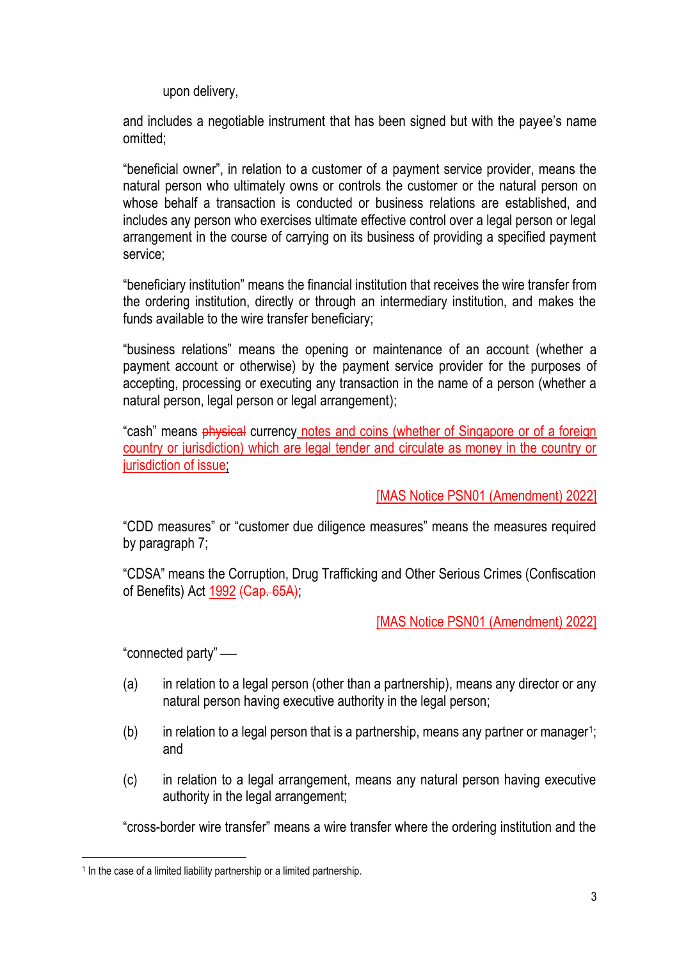upon delivery,

and includes a negotiable instrument that has been signed but with the payee's name omitted;

"beneficial owner", in relation to a customer of a payment service provider, means the natural person who ultimately owns or controls the customer or the natural person on whose behalf a transaction is conducted or business relations are established, and includes any person who exercises ultimate effective control over a legal person or legal arrangement in the course of carrying on its business of providing a specified payment service;

"beneficiary institution" means the financial institution that receives the wire transfer from the ordering institution, directly or through an intermediary institution, and makes the funds available to the wire transfer beneficiary;

"business relations" means the opening or maintenance of an account (whether a payment account or otherwise) by the payment service provider for the purposes of accepting, processing or executing any transaction in the name of a person (whether a natural person, legal person or legal arrangement);

"cash" means physical currency notes and coins (whether of Singapore or of a foreign country or jurisdiction) which are legal tender and circulate as money in the country or jurisdiction of issue;

[MAS Notice PSN01 (Amendment) 2022]

"CDD measures" or "customer due diligence measures" means the measures required by paragraph 7;

"CDSA" means the Corruption, Drug Trafficking and Other Serious Crimes (Confiscation of Benefits) Act 1992 (Cap. 65A);

[MAS Notice PSN01 (Amendment) 2022]

"connected party" —

- (a) in relation to a legal person (other than a partnership), means any director or any natural person having executive authority in the legal person;
- $(b)$  in relation to a legal person that is a partnership, means any partner or manager<sup>1</sup>; and
- (c) in relation to a legal arrangement, means any natural person having executive authority in the legal arrangement;

"cross-border wire transfer" means a wire transfer where the ordering institution and the

<sup>&</sup>lt;sup>1</sup> In the case of a limited liability partnership or a limited partnership.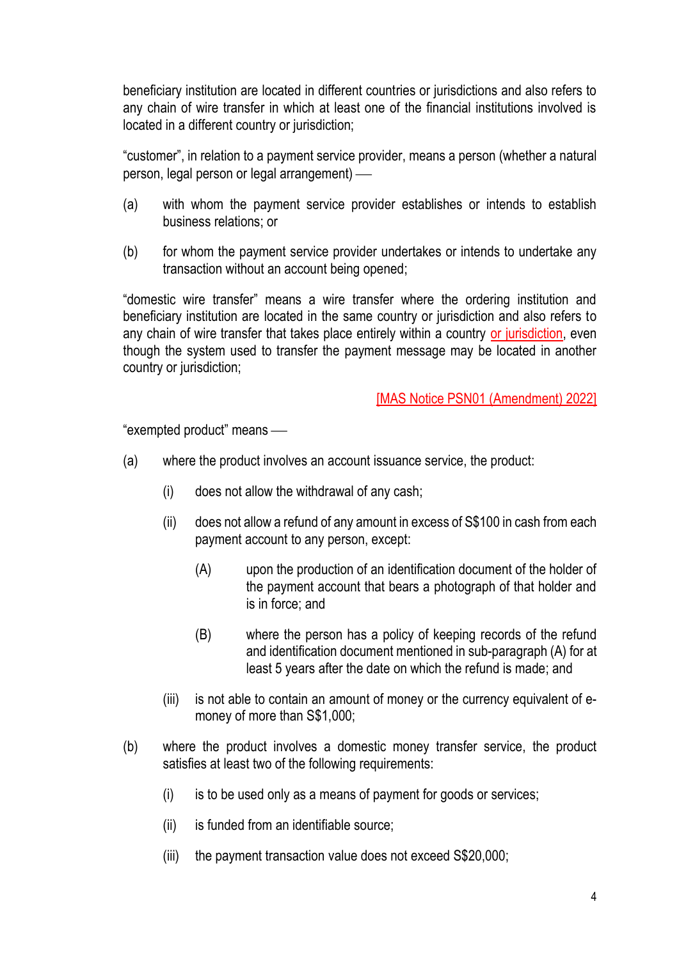beneficiary institution are located in different countries or jurisdictions and also refers to any chain of wire transfer in which at least one of the financial institutions involved is located in a different country or jurisdiction;

"customer", in relation to a payment service provider, means a person (whether a natural person, legal person or legal arrangement) —

- (a) with whom the payment service provider establishes or intends to establish business relations; or
- (b) for whom the payment service provider undertakes or intends to undertake any transaction without an account being opened;

"domestic wire transfer" means a wire transfer where the ordering institution and beneficiary institution are located in the same country or jurisdiction and also refers to any chain of wire transfer that takes place entirely within a country or jurisdiction, even though the system used to transfer the payment message may be located in another country or jurisdiction;

#### [MAS Notice PSN01 (Amendment) 2022]

"exempted product" means -

- (a) where the product involves an account issuance service, the product:
	- (i) does not allow the withdrawal of any cash;
	- (ii) does not allow a refund of any amount in excess of S\$100 in cash from each payment account to any person, except:
		- (A) upon the production of an identification document of the holder of the payment account that bears a photograph of that holder and is in force; and
		- (B) where the person has a policy of keeping records of the refund and identification document mentioned in sub-paragraph (A) for at least 5 years after the date on which the refund is made; and
	- (iii) is not able to contain an amount of money or the currency equivalent of emoney of more than S\$1,000;
- (b) where the product involves a domestic money transfer service, the product satisfies at least two of the following requirements:
	- (i) is to be used only as a means of payment for goods or services;
	- (ii) is funded from an identifiable source;
	- (iii) the payment transaction value does not exceed S\$20,000;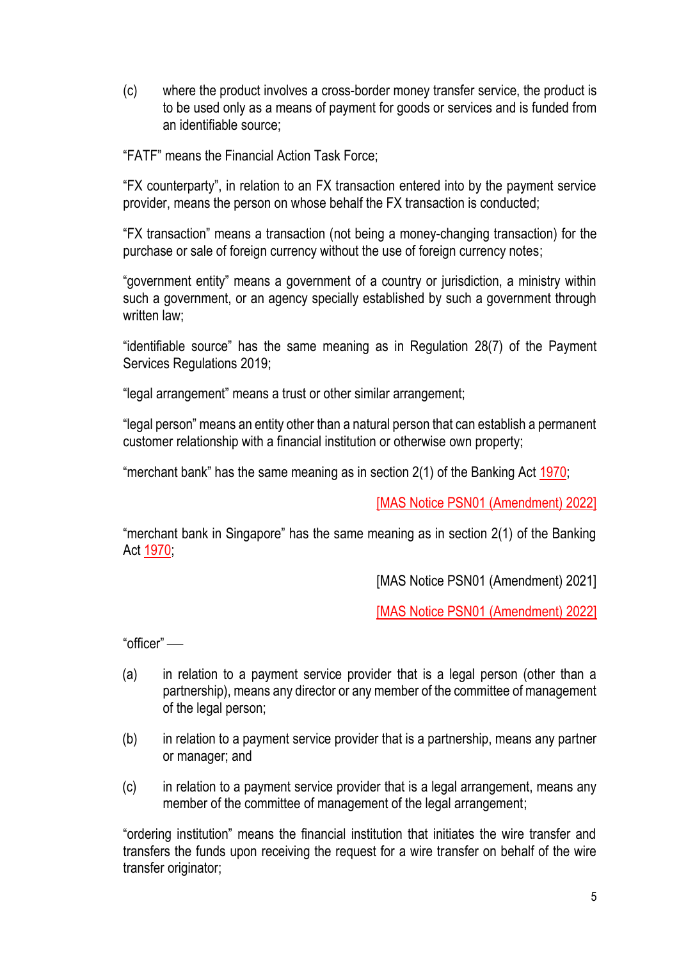(c) where the product involves a cross-border money transfer service, the product is to be used only as a means of payment for goods or services and is funded from an identifiable source;

"FATF" means the Financial Action Task Force;

"FX counterparty", in relation to an FX transaction entered into by the payment service provider, means the person on whose behalf the FX transaction is conducted;

"FX transaction" means a transaction (not being a money-changing transaction) for the purchase or sale of foreign currency without the use of foreign currency notes;

"government entity" means a government of a country or jurisdiction, a ministry within such a government, or an agency specially established by such a government through written law:

"identifiable source" has the same meaning as in Regulation 28(7) of the Payment Services Regulations 2019;

"legal arrangement" means a trust or other similar arrangement;

"legal person" means an entity other than a natural person that can establish a permanent customer relationship with a financial institution or otherwise own property;

"merchant bank" has the same meaning as in section 2(1) of the Banking Act 1970;

[MAS Notice PSN01 (Amendment) 2022]

"merchant bank in Singapore" has the same meaning as in section 2(1) of the Banking Act 1970;

[MAS Notice PSN01 (Amendment) 2021]

[MAS Notice PSN01 (Amendment) 2022]

"officer" —

- (a) in relation to a payment service provider that is a legal person (other than a partnership), means any director or any member of the committee of management of the legal person;
- (b) in relation to a payment service provider that is a partnership, means any partner or manager; and
- (c) in relation to a payment service provider that is a legal arrangement, means any member of the committee of management of the legal arrangement;

"ordering institution" means the financial institution that initiates the wire transfer and transfers the funds upon receiving the request for a wire transfer on behalf of the wire transfer originator;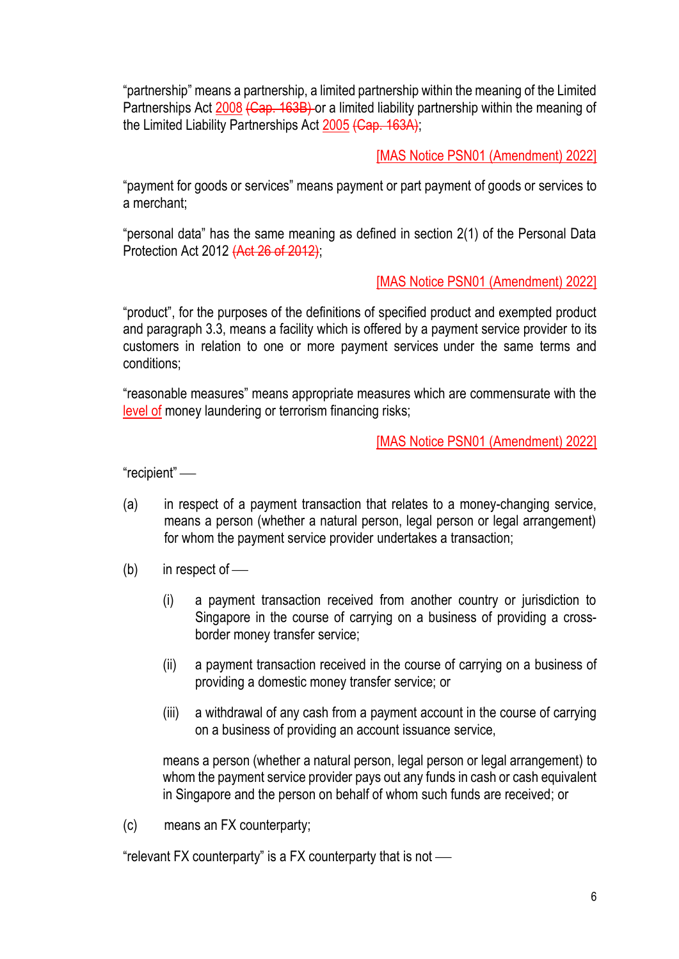"partnership" means a partnership, a limited partnership within the meaning of the Limited Partnerships Act 2008 (Cap. 163B) or a limited liability partnership within the meaning of the Limited Liability Partnerships Act 2005 (Cap. 163A);

[MAS Notice PSN01 (Amendment) 2022]

"payment for goods or services" means payment or part payment of goods or services to a merchant;

"personal data" has the same meaning as defined in section 2(1) of the Personal Data Protection Act 2012 (Act 26 of 2012);

# [MAS Notice PSN01 (Amendment) 2022]

"product", for the purposes of the definitions of specified product and exempted product and paragraph 3.3, means a facility which is offered by a payment service provider to its customers in relation to one or more payment services under the same terms and conditions;

"reasonable measures" means appropriate measures which are commensurate with the level of money laundering or terrorism financing risks;

[MAS Notice PSN01 (Amendment) 2022]

"recipient" —

- (a) in respect of a payment transaction that relates to a money-changing service, means a person (whether a natural person, legal person or legal arrangement) for whom the payment service provider undertakes a transaction;
- $(b)$  in respect of
	- (i) a payment transaction received from another country or jurisdiction to Singapore in the course of carrying on a business of providing a crossborder money transfer service;
	- (ii) a payment transaction received in the course of carrying on a business of providing a domestic money transfer service; or
	- (iii) a withdrawal of any cash from a payment account in the course of carrying on a business of providing an account issuance service,

means a person (whether a natural person, legal person or legal arrangement) to whom the payment service provider pays out any funds in cash or cash equivalent in Singapore and the person on behalf of whom such funds are received; or

(c) means an FX counterparty;

"relevant FX counterparty" is a FX counterparty that is not  $-$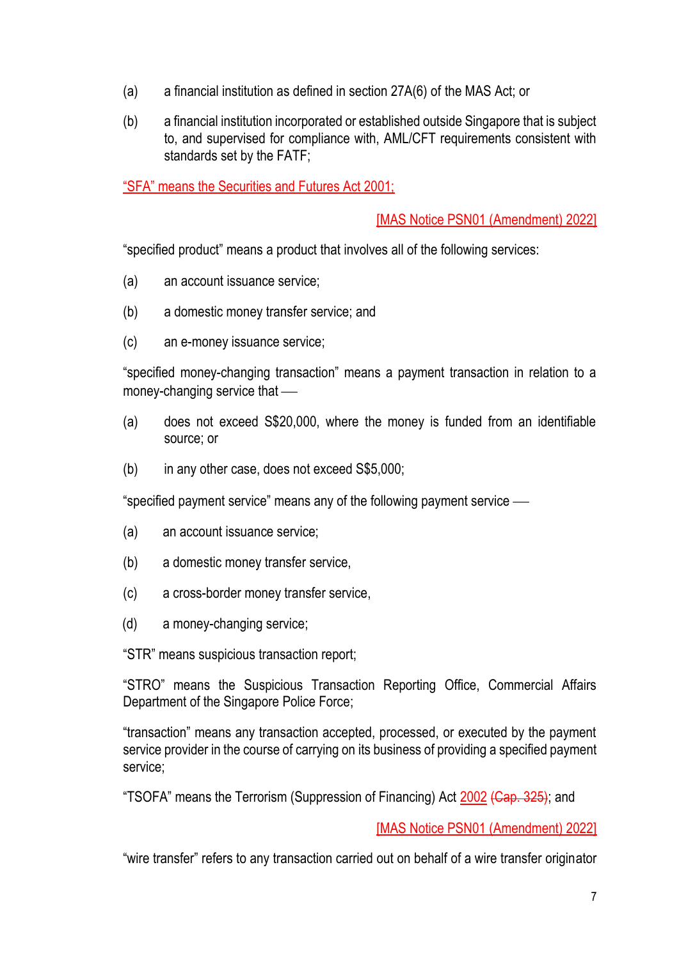- (a) a financial institution as defined in section 27A(6) of the MAS Act; or
- (b) a financial institution incorporated or established outside Singapore that is subject to, and supervised for compliance with, AML/CFT requirements consistent with standards set by the FATF;

"SFA" means the Securities and Futures Act 2001;

[MAS Notice PSN01 (Amendment) 2022]

"specified product" means a product that involves all of the following services:

- (a) an account issuance service;
- (b) a domestic money transfer service; and
- (c) an e-money issuance service;

"specified money-changing transaction" means a payment transaction in relation to a money-changing service that  $\equiv$ 

- (a) does not exceed S\$20,000, where the money is funded from an identifiable source; or
- (b) in any other case, does not exceed S\$5,000;

"specified payment service" means any of the following payment service —

- (a) an account issuance service;
- (b) a domestic money transfer service,
- (c) a cross-border money transfer service,
- (d) a money-changing service;

"STR" means suspicious transaction report;

"STRO" means the Suspicious Transaction Reporting Office, Commercial Affairs Department of the Singapore Police Force;

"transaction" means any transaction accepted, processed, or executed by the payment service provider in the course of carrying on its business of providing a specified payment service;

"TSOFA" means the Terrorism (Suppression of Financing) Act 2002 (Cap. 325); and

[MAS Notice PSN01 (Amendment) 2022]

"wire transfer" refers to any transaction carried out on behalf of a wire transfer originator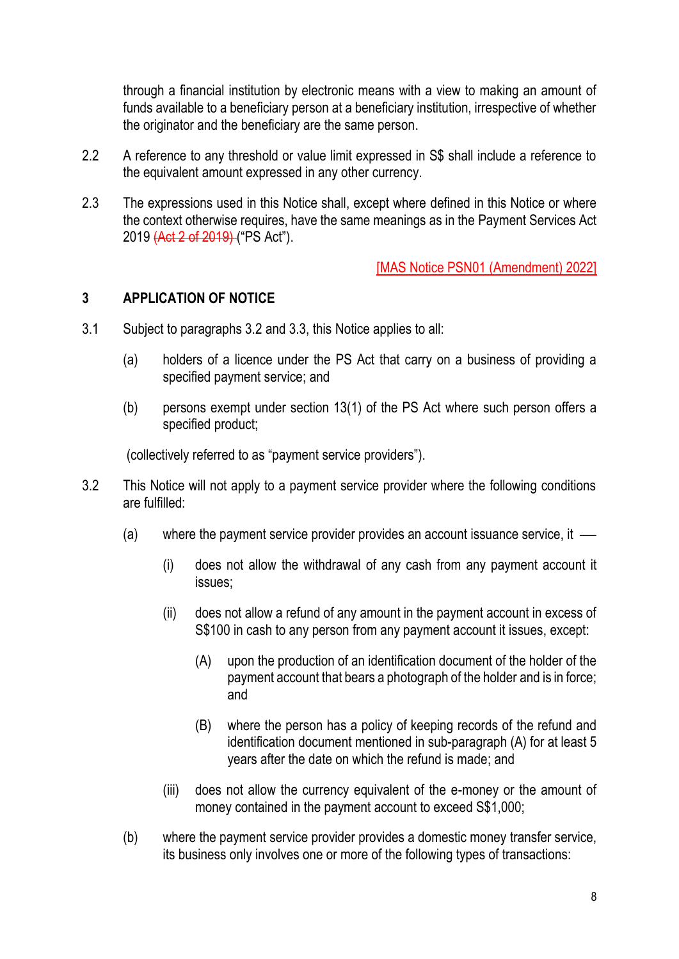through a financial institution by electronic means with a view to making an amount of funds available to a beneficiary person at a beneficiary institution, irrespective of whether the originator and the beneficiary are the same person.

- 2.2 A reference to any threshold or value limit expressed in S\$ shall include a reference to the equivalent amount expressed in any other currency.
- 2.3 The expressions used in this Notice shall, except where defined in this Notice or where the context otherwise requires, have the same meanings as in the Payment Services Act 2019 (Act 2 of 2019) ("PS Act").

[MAS Notice PSN01 (Amendment) 2022]

## **3 APPLICATION OF NOTICE**

- 3.1 Subject to paragraphs 3.2 and 3.3, this Notice applies to all:
	- (a) holders of a licence under the PS Act that carry on a business of providing a specified payment service; and
	- (b) persons exempt under section 13(1) of the PS Act where such person offers a specified product;

(collectively referred to as "payment service providers").

- 3.2 This Notice will not apply to a payment service provider where the following conditions are fulfilled:
	- (a) where the payment service provider provides an account issuance service, it  $\overline{\phantom{a}}$ 
		- (i) does not allow the withdrawal of any cash from any payment account it issues;
		- (ii) does not allow a refund of any amount in the payment account in excess of S\$100 in cash to any person from any payment account it issues, except:
			- (A) upon the production of an identification document of the holder of the payment account that bears a photograph of the holder and is in force; and
			- (B) where the person has a policy of keeping records of the refund and identification document mentioned in sub-paragraph (A) for at least 5 years after the date on which the refund is made; and
		- (iii) does not allow the currency equivalent of the e-money or the amount of money contained in the payment account to exceed S\$1,000;
	- (b) where the payment service provider provides a domestic money transfer service, its business only involves one or more of the following types of transactions: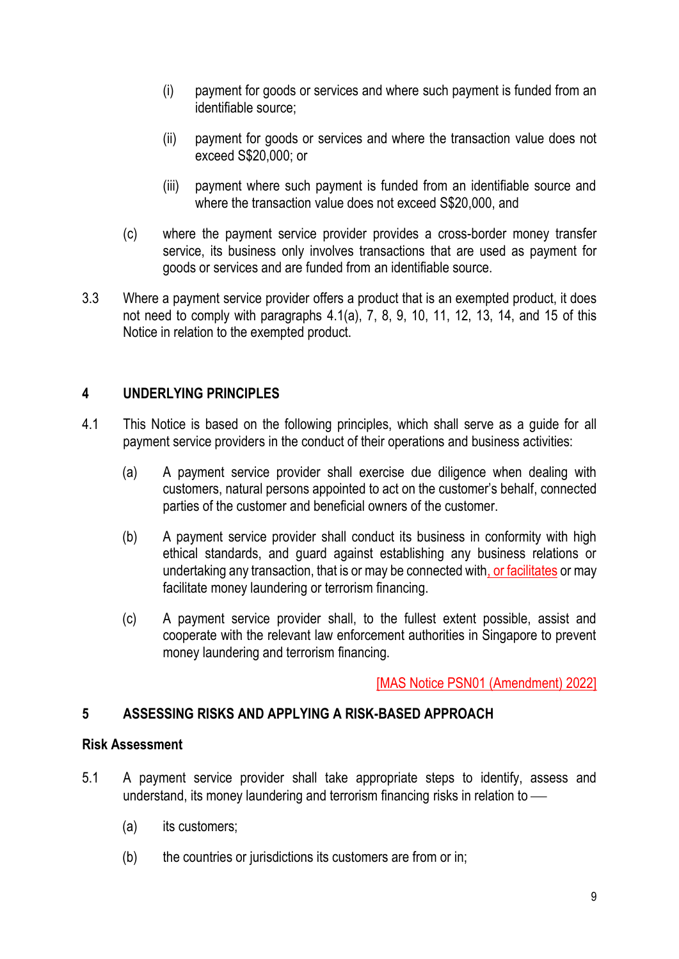- (i) payment for goods or services and where such payment is funded from an identifiable source;
- (ii) payment for goods or services and where the transaction value does not exceed S\$20,000; or
- (iii) payment where such payment is funded from an identifiable source and where the transaction value does not exceed S\$20,000, and
- (c) where the payment service provider provides a cross-border money transfer service, its business only involves transactions that are used as payment for goods or services and are funded from an identifiable source.
- 3.3 Where a payment service provider offers a product that is an exempted product, it does not need to comply with paragraphs 4.1(a), 7, 8, 9, 10, 11, 12, 13, 14, and 15 of this Notice in relation to the exempted product.

# **4 UNDERLYING PRINCIPLES**

- 4.1 This Notice is based on the following principles, which shall serve as a guide for all payment service providers in the conduct of their operations and business activities:
	- (a) A payment service provider shall exercise due diligence when dealing with customers, natural persons appointed to act on the customer's behalf, connected parties of the customer and beneficial owners of the customer.
	- (b) A payment service provider shall conduct its business in conformity with high ethical standards, and guard against establishing any business relations or undertaking any transaction, that is or may be connected with, or facilitates or may facilitate money laundering or terrorism financing.
	- (c) A payment service provider shall, to the fullest extent possible, assist and cooperate with the relevant law enforcement authorities in Singapore to prevent money laundering and terrorism financing.

[MAS Notice PSN01 (Amendment) 2022]

# **5 ASSESSING RISKS AND APPLYING A RISK-BASED APPROACH**

## **Risk Assessment**

- 5.1 A payment service provider shall take appropriate steps to identify, assess and understand, its money laundering and terrorism financing risks in relation to  $-$ 
	- (a) its customers;
	- (b) the countries or jurisdictions its customers are from or in;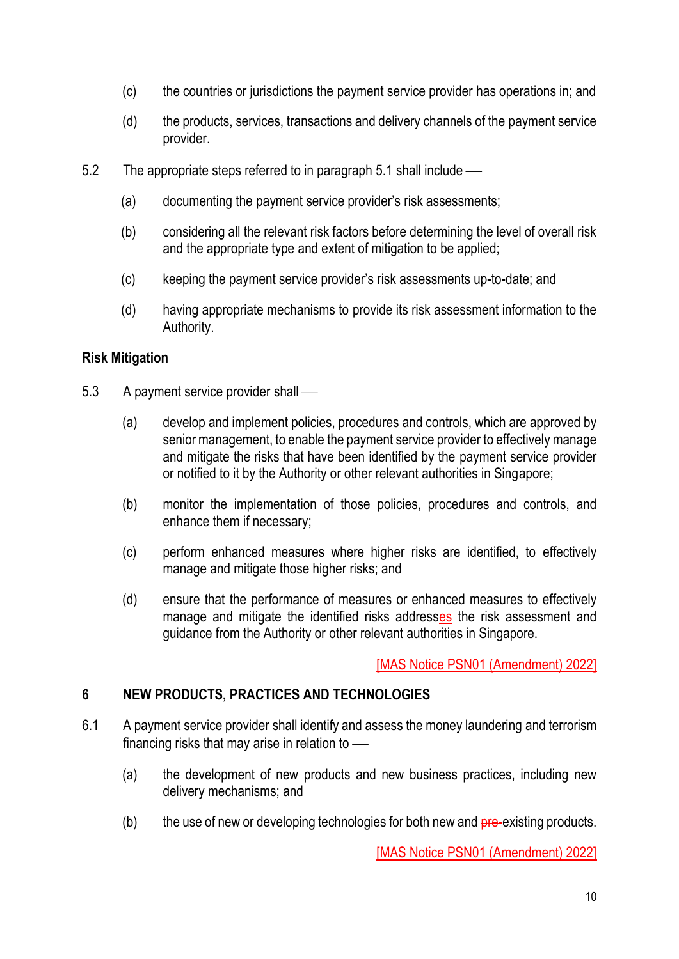- (c) the countries or jurisdictions the payment service provider has operations in; and
- (d) the products, services, transactions and delivery channels of the payment service provider.
- 5.2 The appropriate steps referred to in paragraph 5.1 shall include
	- (a) documenting the payment service provider's risk assessments;
	- (b) considering all the relevant risk factors before determining the level of overall risk and the appropriate type and extent of mitigation to be applied;
	- (c) keeping the payment service provider's risk assessments up-to-date; and
	- (d) having appropriate mechanisms to provide its risk assessment information to the Authority.

# **Risk Mitigation**

- 5.3 A payment service provider shall
	- (a) develop and implement policies, procedures and controls, which are approved by senior management, to enable the payment service provider to effectively manage and mitigate the risks that have been identified by the payment service provider or notified to it by the Authority or other relevant authorities in Singapore;
	- (b) monitor the implementation of those policies, procedures and controls, and enhance them if necessary;
	- (c) perform enhanced measures where higher risks are identified, to effectively manage and mitigate those higher risks; and
	- (d) ensure that the performance of measures or enhanced measures to effectively manage and mitigate the identified risks addresses the risk assessment and guidance from the Authority or other relevant authorities in Singapore.

[MAS Notice PSN01 (Amendment) 2022]

## **6 NEW PRODUCTS, PRACTICES AND TECHNOLOGIES**

- 6.1 A payment service provider shall identify and assess the money laundering and terrorism financing risks that may arise in relation to  $-$ 
	- (a) the development of new products and new business practices, including new delivery mechanisms; and
	- $(b)$  the use of new or developing technologies for both new and  $pre-existing$  products.

[MAS Notice PSN01 (Amendment) 2022]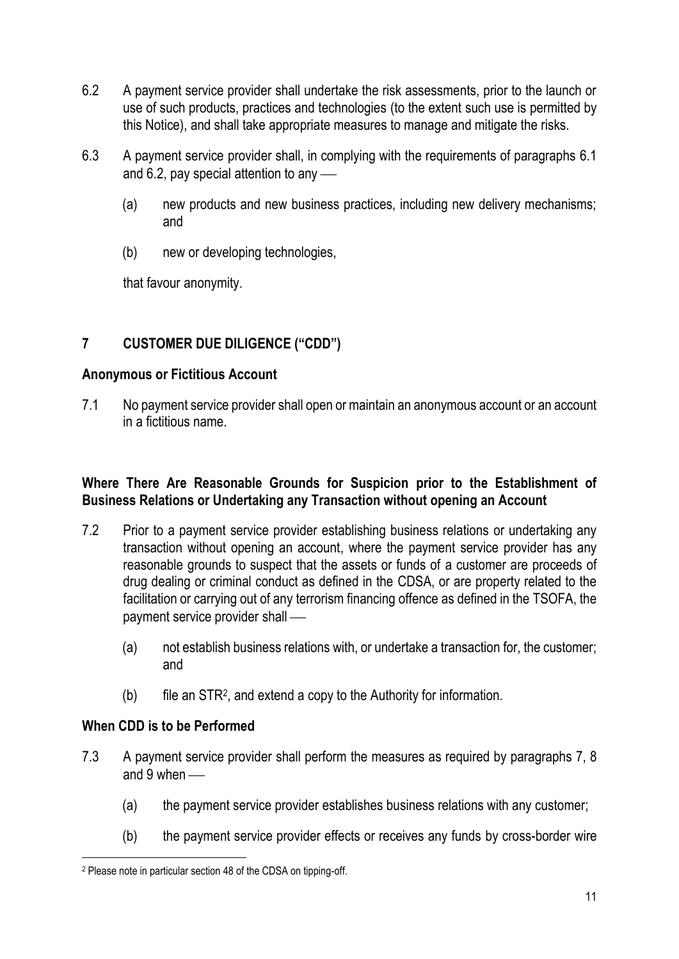- 6.2 A payment service provider shall undertake the risk assessments, prior to the launch or use of such products, practices and technologies (to the extent such use is permitted by this Notice), and shall take appropriate measures to manage and mitigate the risks.
- 6.3 A payment service provider shall, in complying with the requirements of paragraphs 6.1 and 6.2, pay special attention to any  $\sim$ 
	- (a) new products and new business practices, including new delivery mechanisms; and
	- (b) new or developing technologies,

that favour anonymity.

# **7 CUSTOMER DUE DILIGENCE ("CDD")**

## **Anonymous or Fictitious Account**

7.1 No payment service provider shall open or maintain an anonymous account or an account in a fictitious name.

## **Where There Are Reasonable Grounds for Suspicion prior to the Establishment of Business Relations or Undertaking any Transaction without opening an Account**

- 7.2 Prior to a payment service provider establishing business relations or undertaking any transaction without opening an account, where the payment service provider has any reasonable grounds to suspect that the assets or funds of a customer are proceeds of drug dealing or criminal conduct as defined in the CDSA, or are property related to the facilitation or carrying out of any terrorism financing offence as defined in the TSOFA, the payment service provider shall —
	- (a) not establish business relations with, or undertake a transaction for, the customer; and
	- (b) file an STR<sup>2</sup> , and extend a copy to the Authority for information.

# **When CDD is to be Performed**

- 7.3 A payment service provider shall perform the measures as required by paragraphs 7, 8 and  $9$  when  $-$ 
	- (a) the payment service provider establishes business relations with any customer;
	- (b) the payment service provider effects or receives any funds by cross-border wire

<sup>2</sup> Please note in particular section 48 of the CDSA on tipping-off.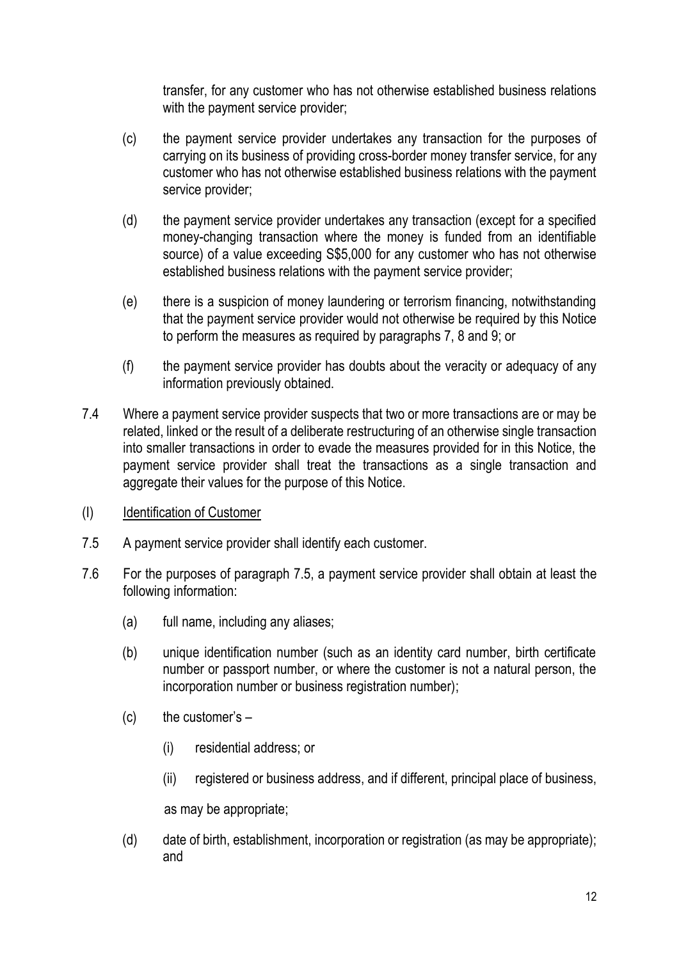transfer, for any customer who has not otherwise established business relations with the payment service provider;

- (c) the payment service provider undertakes any transaction for the purposes of carrying on its business of providing cross-border money transfer service, for any customer who has not otherwise established business relations with the payment service provider;
- (d) the payment service provider undertakes any transaction (except for a specified money-changing transaction where the money is funded from an identifiable source) of a value exceeding S\$5,000 for any customer who has not otherwise established business relations with the payment service provider;
- (e) there is a suspicion of money laundering or terrorism financing, notwithstanding that the payment service provider would not otherwise be required by this Notice to perform the measures as required by paragraphs 7, 8 and 9; or
- (f) the payment service provider has doubts about the veracity or adequacy of any information previously obtained.
- 7.4 Where a payment service provider suspects that two or more transactions are or may be related, linked or the result of a deliberate restructuring of an otherwise single transaction into smaller transactions in order to evade the measures provided for in this Notice, the payment service provider shall treat the transactions as a single transaction and aggregate their values for the purpose of this Notice.
- (I) Identification of Customer
- 7.5 A payment service provider shall identify each customer.
- 7.6 For the purposes of paragraph 7.5, a payment service provider shall obtain at least the following information:
	- (a) full name, including any aliases;
	- (b) unique identification number (such as an identity card number, birth certificate number or passport number, or where the customer is not a natural person, the incorporation number or business registration number);
	- $(c)$  the customer's  $-$ 
		- (i) residential address; or
		- (ii) registered or business address, and if different, principal place of business,

as may be appropriate;

(d) date of birth, establishment, incorporation or registration (as may be appropriate); and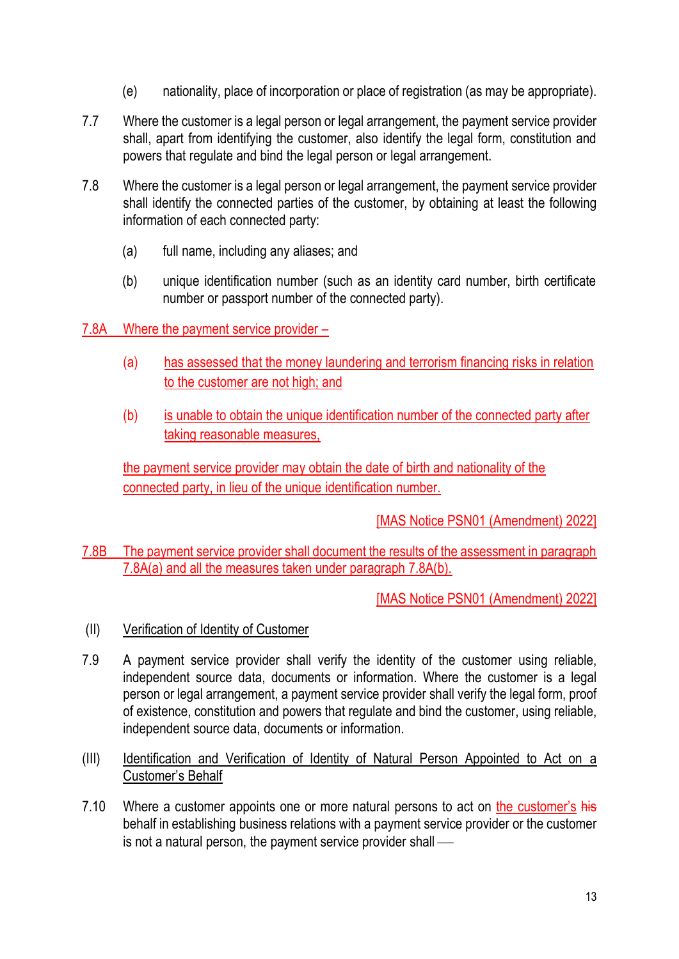- (e) nationality, place of incorporation or place of registration (as may be appropriate).
- 7.7 Where the customer is a legal person or legal arrangement, the payment service provider shall, apart from identifying the customer, also identify the legal form, constitution and powers that regulate and bind the legal person or legal arrangement.
- 7.8 Where the customer is a legal person or legal arrangement, the payment service provider shall identify the connected parties of the customer, by obtaining at least the following information of each connected party:
	- (a) full name, including any aliases; and
	- (b) unique identification number (such as an identity card number, birth certificate number or passport number of the connected party).
- 7.8A Where the payment service provider
	- (a) has assessed that the money laundering and terrorism financing risks in relation to the customer are not high; and
	- (b) is unable to obtain the unique identification number of the connected party after taking reasonable measures,

the payment service provider may obtain the date of birth and nationality of the connected party, in lieu of the unique identification number.

[MAS Notice PSN01 (Amendment) 2022]

7.8B The payment service provider shall document the results of the assessment in paragraph 7.8A(a) and all the measures taken under paragraph 7.8A(b).

[MAS Notice PSN01 (Amendment) 2022]

- (II) Verification of Identity of Customer
- 7.9 A payment service provider shall verify the identity of the customer using reliable, independent source data, documents or information. Where the customer is a legal person or legal arrangement, a payment service provider shall verify the legal form, proof of existence, constitution and powers that regulate and bind the customer, using reliable, independent source data, documents or information.
- (III) Identification and Verification of Identity of Natural Person Appointed to Act on a Customer's Behalf
- 7.10 Where a customer appoints one or more natural persons to act on the customer's his behalf in establishing business relations with a payment service provider or the customer is not a natural person, the payment service provider shall  $-$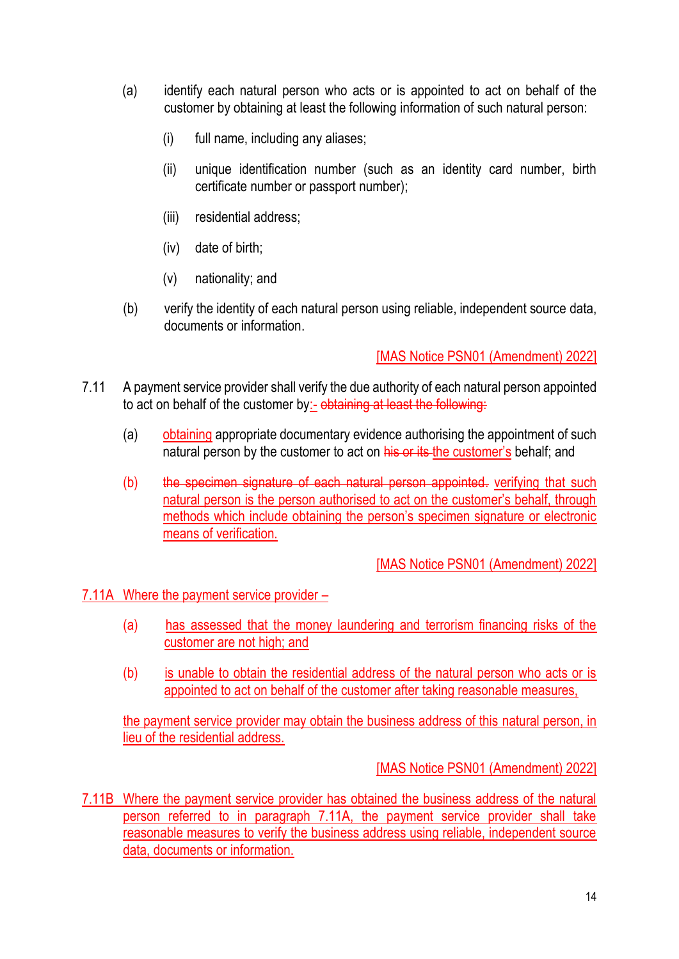- (a) identify each natural person who acts or is appointed to act on behalf of the customer by obtaining at least the following information of such natural person:
	- (i) full name, including any aliases;
	- (ii) unique identification number (such as an identity card number, birth certificate number or passport number);
	- (iii) residential address;
	- (iv) date of birth;
	- (v) nationality; and
- (b) verify the identity of each natural person using reliable, independent source data, documents or information.

# [MAS Notice PSN01 (Amendment) 2022]

- 7.11 A payment service provider shall verify the due authority of each natural person appointed to act on behalf of the customer by:- obtaining at least the following:
	- (a) obtaining appropriate documentary evidence authorising the appointment of such natural person by the customer to act on his or its the customer's behalf; and
	- (b) the specimen signature of each natural person appointed. verifying that such natural person is the person authorised to act on the customer's behalf, through methods which include obtaining the person's specimen signature or electronic means of verification.

[MAS Notice PSN01 (Amendment) 2022]

7.11A Where the payment service provider –

- (a) has assessed that the money laundering and terrorism financing risks of the customer are not high; and
- (b) is unable to obtain the residential address of the natural person who acts or is appointed to act on behalf of the customer after taking reasonable measures,

the payment service provider may obtain the business address of this natural person, in lieu of the residential address.

[MAS Notice PSN01 (Amendment) 2022]

7.11B Where the payment service provider has obtained the business address of the natural person referred to in paragraph 7.11A, the payment service provider shall take reasonable measures to verify the business address using reliable, independent source data, documents or information.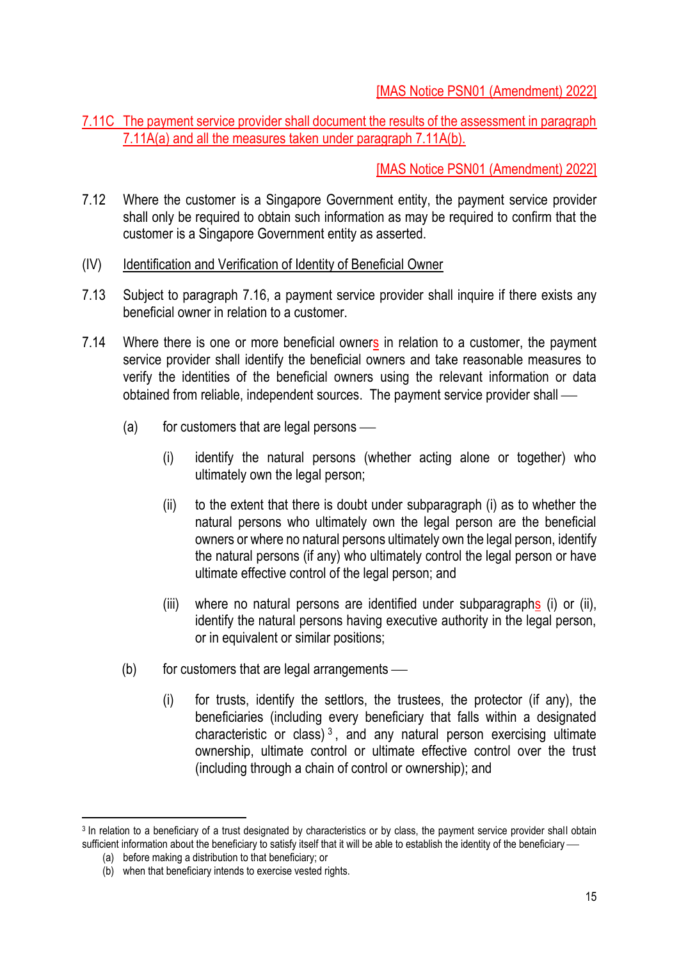# [MAS Notice PSN01 (Amendment) 2022]

7.11C The payment service provider shall document the results of the assessment in paragraph 7.11A(a) and all the measures taken under paragraph 7.11A(b).

[MAS Notice PSN01 (Amendment) 2022]

- 7.12 Where the customer is a Singapore Government entity, the payment service provider shall only be required to obtain such information as may be required to confirm that the customer is a Singapore Government entity as asserted.
- (IV) Identification and Verification of Identity of Beneficial Owner
- 7.13 Subject to paragraph 7.16, a payment service provider shall inquire if there exists any beneficial owner in relation to a customer.
- 7.14 Where there is one or more beneficial owners in relation to a customer, the payment service provider shall identify the beneficial owners and take reasonable measures to verify the identities of the beneficial owners using the relevant information or data obtained from reliable, independent sources. The payment service provider shall —
	- $(a)$  for customers that are legal persons
		- (i) identify the natural persons (whether acting alone or together) who ultimately own the legal person;
		- (ii) to the extent that there is doubt under subparagraph (i) as to whether the natural persons who ultimately own the legal person are the beneficial owners or where no natural persons ultimately own the legal person, identify the natural persons (if any) who ultimately control the legal person or have ultimate effective control of the legal person; and
		- (iii) where no natural persons are identified under subparagraphs (i) or (ii), identify the natural persons having executive authority in the legal person, or in equivalent or similar positions;
	- $(b)$  for customers that are legal arrangements
		- (i) for trusts, identify the settlors, the trustees, the protector (if any), the beneficiaries (including every beneficiary that falls within a designated characteristic or class)<sup>3</sup>, and any natural person exercising ultimate ownership, ultimate control or ultimate effective control over the trust (including through a chain of control or ownership); and

<sup>3</sup> In relation to a beneficiary of a trust designated by characteristics or by class, the payment service provider shall obtain sufficient information about the beneficiary to satisfy itself that it will be able to establish the identity of the beneficiary —

<sup>(</sup>a) before making a distribution to that beneficiary; or

<sup>(</sup>b) when that beneficiary intends to exercise vested rights.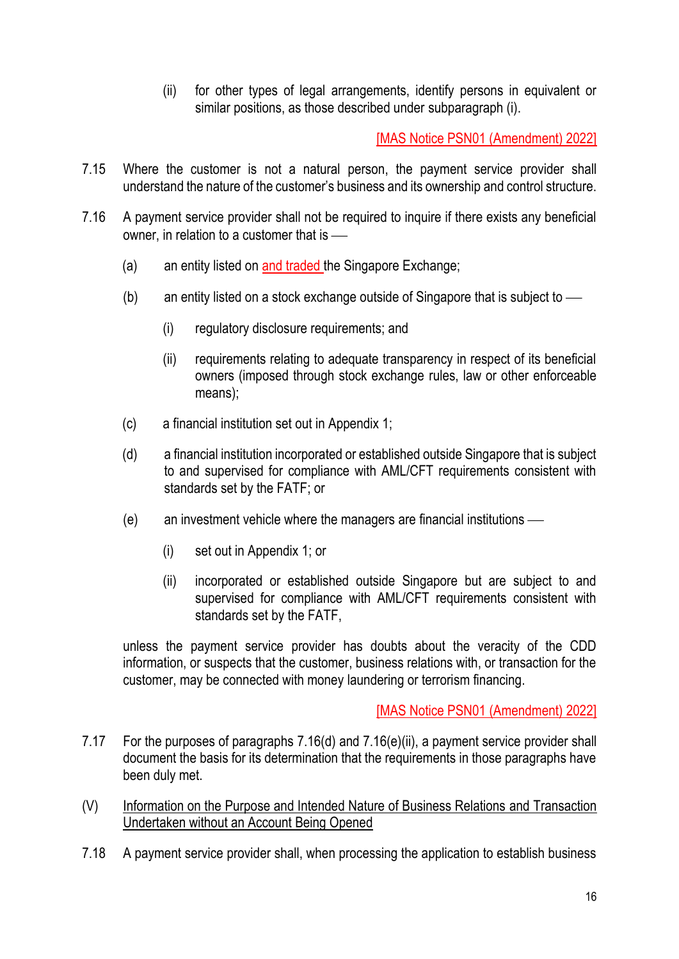(ii) for other types of legal arrangements, identify persons in equivalent or similar positions, as those described under subparagraph (i).

[MAS Notice PSN01 (Amendment) 2022]

- 7.15 Where the customer is not a natural person, the payment service provider shall understand the nature of the customer's business and its ownership and control structure.
- 7.16 A payment service provider shall not be required to inquire if there exists any beneficial owner, in relation to a customer that is  $-\!\!-\!\!$ 
	- (a) an entity listed on and traded the Singapore Exchange;
	- (b) an entity listed on a stock exchange outside of Singapore that is subject to  $\frac{1}{10}$ 
		- (i) regulatory disclosure requirements; and
		- (ii) requirements relating to adequate transparency in respect of its beneficial owners (imposed through stock exchange rules, law or other enforceable means);
	- (c) a financial institution set out in Appendix 1;
	- (d) a financial institution incorporated or established outside Singapore that is subject to and supervised for compliance with AML/CFT requirements consistent with standards set by the FATF; or
	- $(e)$  an investment vehicle where the managers are financial institutions  $-$ 
		- (i) set out in Appendix 1; or
		- (ii) incorporated or established outside Singapore but are subject to and supervised for compliance with AML/CFT requirements consistent with standards set by the FATF,

unless the payment service provider has doubts about the veracity of the CDD information, or suspects that the customer, business relations with, or transaction for the customer, may be connected with money laundering or terrorism financing.

[MAS Notice PSN01 (Amendment) 2022]

- 7.17 For the purposes of paragraphs 7.16(d) and 7.16(e)(ii), a payment service provider shall document the basis for its determination that the requirements in those paragraphs have been duly met.
- (V) Information on the Purpose and Intended Nature of Business Relations and Transaction Undertaken without an Account Being Opened
- 7.18 A payment service provider shall, when processing the application to establish business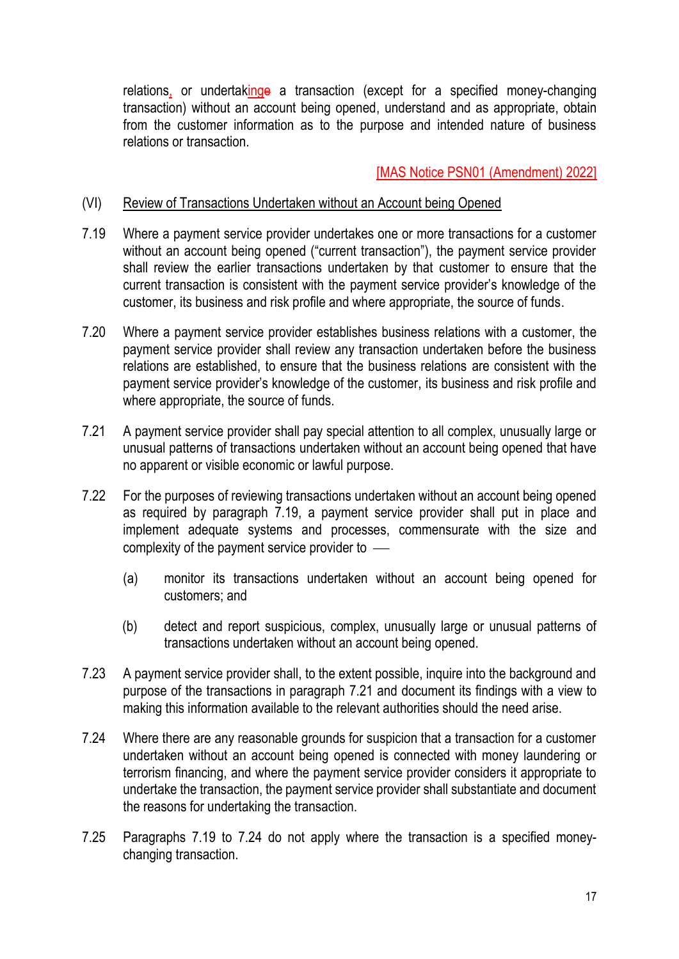relations, or undertakinge a transaction (except for a specified money-changing transaction) without an account being opened, understand and as appropriate, obtain from the customer information as to the purpose and intended nature of business relations or transaction.

## [MAS Notice PSN01 (Amendment) 2022]

## (VI) Review of Transactions Undertaken without an Account being Opened

- 7.19 Where a payment service provider undertakes one or more transactions for a customer without an account being opened ("current transaction"), the payment service provider shall review the earlier transactions undertaken by that customer to ensure that the current transaction is consistent with the payment service provider's knowledge of the customer, its business and risk profile and where appropriate, the source of funds.
- 7.20 Where a payment service provider establishes business relations with a customer, the payment service provider shall review any transaction undertaken before the business relations are established, to ensure that the business relations are consistent with the payment service provider's knowledge of the customer, its business and risk profile and where appropriate, the source of funds.
- 7.21 A payment service provider shall pay special attention to all complex, unusually large or unusual patterns of transactions undertaken without an account being opened that have no apparent or visible economic or lawful purpose.
- 7.22 For the purposes of reviewing transactions undertaken without an account being opened as required by paragraph 7.19, a payment service provider shall put in place and implement adequate systems and processes, commensurate with the size and complexity of the payment service provider to  $\equiv$ 
	- (a) monitor its transactions undertaken without an account being opened for customers; and
	- (b) detect and report suspicious, complex, unusually large or unusual patterns of transactions undertaken without an account being opened.
- 7.23 A payment service provider shall, to the extent possible, inquire into the background and purpose of the transactions in paragraph 7.21 and document its findings with a view to making this information available to the relevant authorities should the need arise.
- 7.24 Where there are any reasonable grounds for suspicion that a transaction for a customer undertaken without an account being opened is connected with money laundering or terrorism financing, and where the payment service provider considers it appropriate to undertake the transaction, the payment service provider shall substantiate and document the reasons for undertaking the transaction.
- 7.25 Paragraphs 7.19 to 7.24 do not apply where the transaction is a specified moneychanging transaction.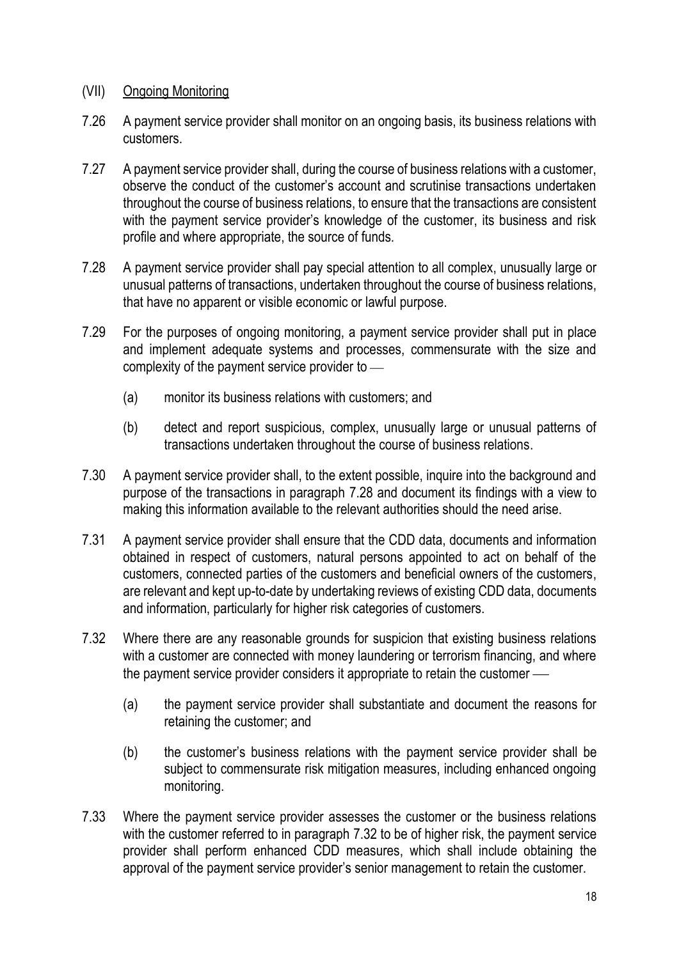## (VII) Ongoing Monitoring

- 7.26 A payment service provider shall monitor on an ongoing basis, its business relations with customers.
- 7.27 A payment service provider shall, during the course of business relations with a customer, observe the conduct of the customer's account and scrutinise transactions undertaken throughout the course of business relations, to ensure that the transactions are consistent with the payment service provider's knowledge of the customer, its business and risk profile and where appropriate, the source of funds.
- 7.28 A payment service provider shall pay special attention to all complex, unusually large or unusual patterns of transactions, undertaken throughout the course of business relations, that have no apparent or visible economic or lawful purpose.
- 7.29 For the purposes of ongoing monitoring, a payment service provider shall put in place and implement adequate systems and processes, commensurate with the size and complexity of the payment service provider to  $-$ 
	- (a) monitor its business relations with customers; and
	- (b) detect and report suspicious, complex, unusually large or unusual patterns of transactions undertaken throughout the course of business relations.
- 7.30 A payment service provider shall, to the extent possible, inquire into the background and purpose of the transactions in paragraph 7.28 and document its findings with a view to making this information available to the relevant authorities should the need arise.
- 7.31 A payment service provider shall ensure that the CDD data, documents and information obtained in respect of customers, natural persons appointed to act on behalf of the customers, connected parties of the customers and beneficial owners of the customers, are relevant and kept up-to-date by undertaking reviews of existing CDD data, documents and information, particularly for higher risk categories of customers.
- 7.32 Where there are any reasonable grounds for suspicion that existing business relations with a customer are connected with money laundering or terrorism financing, and where the payment service provider considers it appropriate to retain the customer —
	- (a) the payment service provider shall substantiate and document the reasons for retaining the customer; and
	- (b) the customer's business relations with the payment service provider shall be subject to commensurate risk mitigation measures, including enhanced ongoing monitoring.
- 7.33 Where the payment service provider assesses the customer or the business relations with the customer referred to in paragraph 7.32 to be of higher risk, the payment service provider shall perform enhanced CDD measures, which shall include obtaining the approval of the payment service provider's senior management to retain the customer.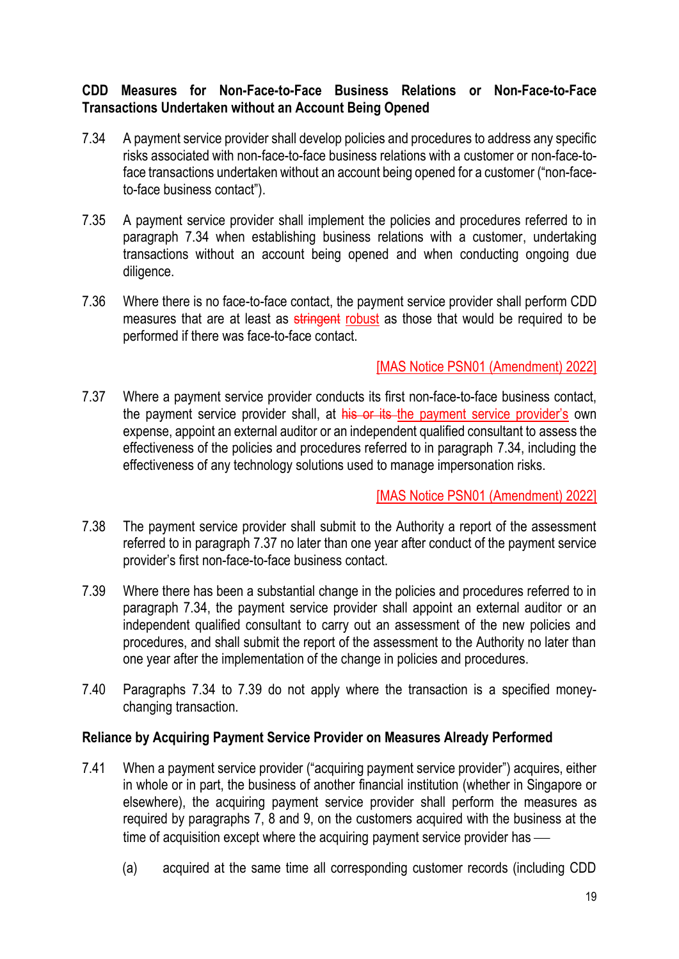# **CDD Measures for Non-Face-to-Face Business Relations or Non-Face-to-Face Transactions Undertaken without an Account Being Opened**

- 7.34 A payment service provider shall develop policies and procedures to address any specific risks associated with non-face-to-face business relations with a customer or non-face-toface transactions undertaken without an account being opened for a customer ("non-faceto-face business contact").
- 7.35 A payment service provider shall implement the policies and procedures referred to in paragraph 7.34 when establishing business relations with a customer, undertaking transactions without an account being opened and when conducting ongoing due diligence.
- 7.36 Where there is no face-to-face contact, the payment service provider shall perform CDD measures that are at least as stringent robust as those that would be required to be performed if there was face-to-face contact.

## [MAS Notice PSN01 (Amendment) 2022]

7.37 Where a payment service provider conducts its first non-face-to-face business contact, the payment service provider shall, at his or its the payment service provider's own expense, appoint an external auditor or an independent qualified consultant to assess the effectiveness of the policies and procedures referred to in paragraph 7.34, including the effectiveness of any technology solutions used to manage impersonation risks.

## [MAS Notice PSN01 (Amendment) 2022]

- 7.38 The payment service provider shall submit to the Authority a report of the assessment referred to in paragraph 7.37 no later than one year after conduct of the payment service provider's first non-face-to-face business contact.
- 7.39 Where there has been a substantial change in the policies and procedures referred to in paragraph 7.34, the payment service provider shall appoint an external auditor or an independent qualified consultant to carry out an assessment of the new policies and procedures, and shall submit the report of the assessment to the Authority no later than one year after the implementation of the change in policies and procedures.
- 7.40 Paragraphs 7.34 to 7.39 do not apply where the transaction is a specified moneychanging transaction.

## **Reliance by Acquiring Payment Service Provider on Measures Already Performed**

- 7.41 When a payment service provider ("acquiring payment service provider") acquires, either in whole or in part, the business of another financial institution (whether in Singapore or elsewhere), the acquiring payment service provider shall perform the measures as required by paragraphs 7, 8 and 9, on the customers acquired with the business at the time of acquisition except where the acquiring payment service provider has —
	- (a) acquired at the same time all corresponding customer records (including CDD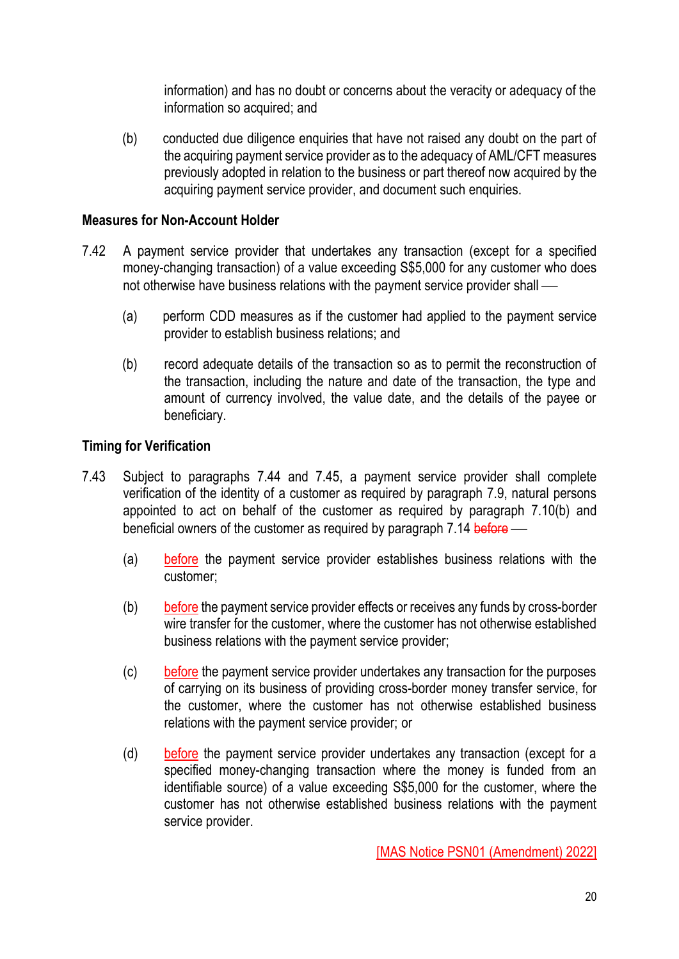information) and has no doubt or concerns about the veracity or adequacy of the information so acquired; and

(b) conducted due diligence enquiries that have not raised any doubt on the part of the acquiring payment service provider as to the adequacy of AML/CFT measures previously adopted in relation to the business or part thereof now acquired by the acquiring payment service provider, and document such enquiries.

## **Measures for Non-Account Holder**

- 7.42 A payment service provider that undertakes any transaction (except for a specified money-changing transaction) of a value exceeding S\$5,000 for any customer who does not otherwise have business relations with the payment service provider shall —
	- (a) perform CDD measures as if the customer had applied to the payment service provider to establish business relations; and
	- (b) record adequate details of the transaction so as to permit the reconstruction of the transaction, including the nature and date of the transaction, the type and amount of currency involved, the value date, and the details of the payee or beneficiary.

## **Timing for Verification**

- 7.43 Subject to paragraphs 7.44 and 7.45, a payment service provider shall complete verification of the identity of a customer as required by paragraph 7.9, natural persons appointed to act on behalf of the customer as required by paragraph 7.10(b) and beneficial owners of the customer as required by paragraph 7.14 before —
	- (a) before the payment service provider establishes business relations with the customer;
	- (b) before the payment service provider effects or receives any funds by cross-border wire transfer for the customer, where the customer has not otherwise established business relations with the payment service provider;
	- (c) before the payment service provider undertakes any transaction for the purposes of carrying on its business of providing cross-border money transfer service, for the customer, where the customer has not otherwise established business relations with the payment service provider; or
	- (d) before the payment service provider undertakes any transaction (except for a specified money-changing transaction where the money is funded from an identifiable source) of a value exceeding S\$5,000 for the customer, where the customer has not otherwise established business relations with the payment service provider.

[MAS Notice PSN01 (Amendment) 2022]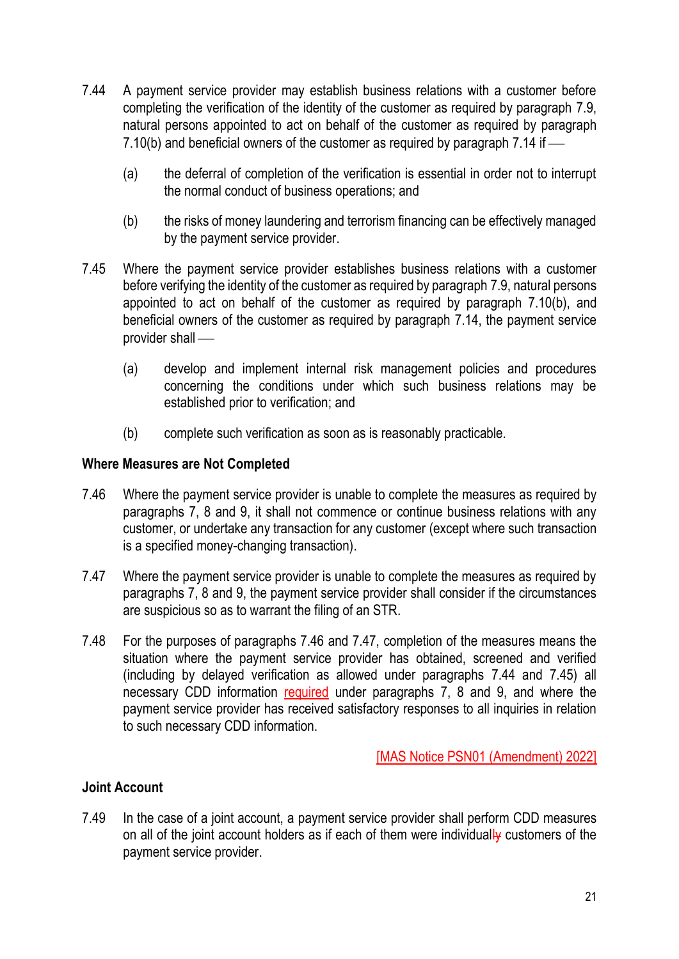- 7.44 A payment service provider may establish business relations with a customer before completing the verification of the identity of the customer as required by paragraph 7.9, natural persons appointed to act on behalf of the customer as required by paragraph 7.10(b) and beneficial owners of the customer as required by paragraph 7.14 if  $-$ 
	- (a) the deferral of completion of the verification is essential in order not to interrupt the normal conduct of business operations; and
	- (b) the risks of money laundering and terrorism financing can be effectively managed by the payment service provider.
- 7.45 Where the payment service provider establishes business relations with a customer before verifying the identity of the customer as required by paragraph 7.9, natural persons appointed to act on behalf of the customer as required by paragraph 7.10(b), and beneficial owners of the customer as required by paragraph 7.14, the payment service provider shall  $-$ 
	- (a) develop and implement internal risk management policies and procedures concerning the conditions under which such business relations may be established prior to verification; and
	- (b) complete such verification as soon as is reasonably practicable.

#### **Where Measures are Not Completed**

- 7.46 Where the payment service provider is unable to complete the measures as required by paragraphs 7, 8 and 9, it shall not commence or continue business relations with any customer, or undertake any transaction for any customer (except where such transaction is a specified money-changing transaction).
- 7.47 Where the payment service provider is unable to complete the measures as required by paragraphs 7, 8 and 9, the payment service provider shall consider if the circumstances are suspicious so as to warrant the filing of an STR.
- 7.48 For the purposes of paragraphs 7.46 and 7.47, completion of the measures means the situation where the payment service provider has obtained, screened and verified (including by delayed verification as allowed under paragraphs 7.44 and 7.45) all necessary CDD information required under paragraphs 7, 8 and 9, and where the payment service provider has received satisfactory responses to all inquiries in relation to such necessary CDD information.

[MAS Notice PSN01 (Amendment) 2022]

## **Joint Account**

7.49 In the case of a joint account, a payment service provider shall perform CDD measures on all of the joint account holders as if each of them were individually customers of the payment service provider.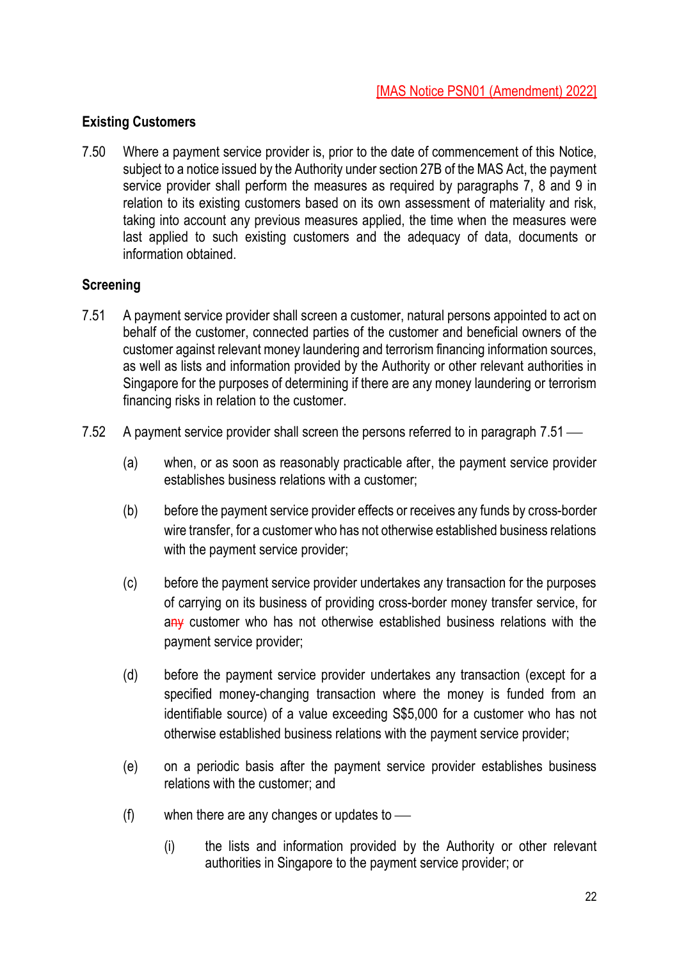## **Existing Customers**

7.50 Where a payment service provider is, prior to the date of commencement of this Notice, subject to a notice issued by the Authority under section 27B of the MAS Act, the payment service provider shall perform the measures as required by paragraphs 7, 8 and 9 in relation to its existing customers based on its own assessment of materiality and risk, taking into account any previous measures applied, the time when the measures were last applied to such existing customers and the adequacy of data, documents or information obtained.

## **Screening**

- 7.51 A payment service provider shall screen a customer, natural persons appointed to act on behalf of the customer, connected parties of the customer and beneficial owners of the customer against relevant money laundering and terrorism financing information sources, as well as lists and information provided by the Authority or other relevant authorities in Singapore for the purposes of determining if there are any money laundering or terrorism financing risks in relation to the customer.
- 7.52 A payment service provider shall screen the persons referred to in paragraph 7.51
	- (a) when, or as soon as reasonably practicable after, the payment service provider establishes business relations with a customer;
	- (b) before the payment service provider effects or receives any funds by cross-border wire transfer, for a customer who has not otherwise established business relations with the payment service provider;
	- (c) before the payment service provider undertakes any transaction for the purposes of carrying on its business of providing cross-border money transfer service, for any customer who has not otherwise established business relations with the payment service provider;
	- (d) before the payment service provider undertakes any transaction (except for a specified money-changing transaction where the money is funded from an identifiable source) of a value exceeding S\$5,000 for a customer who has not otherwise established business relations with the payment service provider;
	- (e) on a periodic basis after the payment service provider establishes business relations with the customer; and
	- (f) when there are any changes or updates to  $\equiv$ 
		- (i) the lists and information provided by the Authority or other relevant authorities in Singapore to the payment service provider; or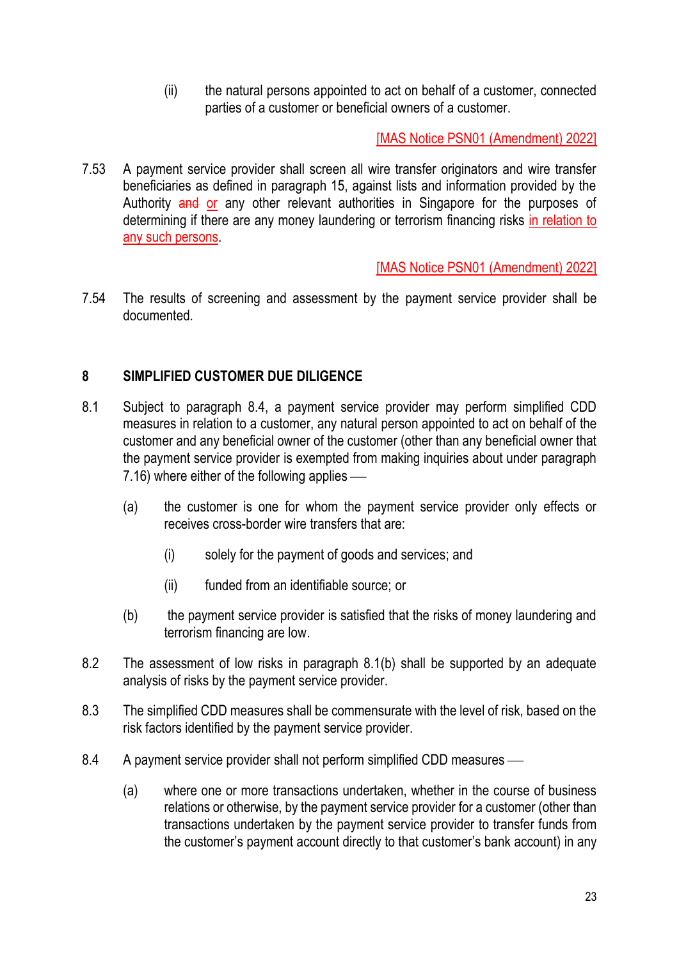(ii) the natural persons appointed to act on behalf of a customer, connected parties of a customer or beneficial owners of a customer.

[MAS Notice PSN01 (Amendment) 2022]

7.53 A payment service provider shall screen all wire transfer originators and wire transfer beneficiaries as defined in paragraph 15, against lists and information provided by the Authority and or any other relevant authorities in Singapore for the purposes of determining if there are any money laundering or terrorism financing risks in relation to any such persons.

[MAS Notice PSN01 (Amendment) 2022]

7.54 The results of screening and assessment by the payment service provider shall be documented.

# **8 SIMPLIFIED CUSTOMER DUE DILIGENCE**

- 8.1 Subject to paragraph 8.4, a payment service provider may perform simplified CDD measures in relation to a customer, any natural person appointed to act on behalf of the customer and any beneficial owner of the customer (other than any beneficial owner that the payment service provider is exempted from making inquiries about under paragraph  $7.16$ ) where either of the following applies  $-$ 
	- (a) the customer is one for whom the payment service provider only effects or receives cross-border wire transfers that are:
		- (i) solely for the payment of goods and services; and
		- (ii) funded from an identifiable source; or
	- (b) the payment service provider is satisfied that the risks of money laundering and terrorism financing are low.
- 8.2 The assessment of low risks in paragraph 8.1(b) shall be supported by an adequate analysis of risks by the payment service provider.
- 8.3 The simplified CDD measures shall be commensurate with the level of risk, based on the risk factors identified by the payment service provider.
- 8.4 A payment service provider shall not perform simplified CDD measures
	- (a) where one or more transactions undertaken, whether in the course of business relations or otherwise, by the payment service provider for a customer (other than transactions undertaken by the payment service provider to transfer funds from the customer's payment account directly to that customer's bank account) in any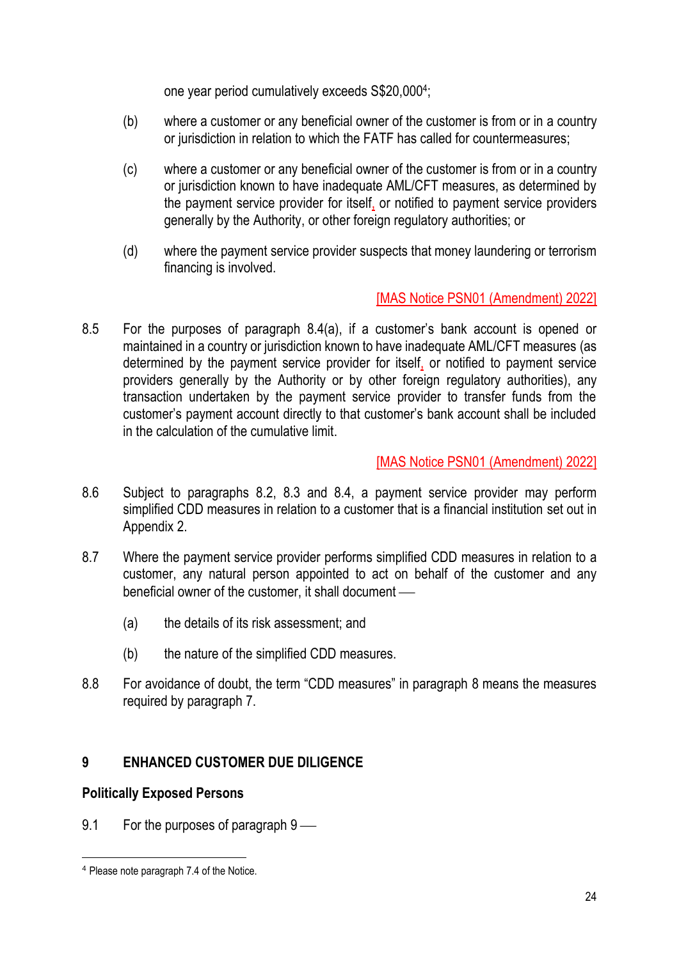one year period cumulatively exceeds S\$20,000<sup>4</sup> ;

- (b) where a customer or any beneficial owner of the customer is from or in a country or jurisdiction in relation to which the FATF has called for countermeasures;
- (c) where a customer or any beneficial owner of the customer is from or in a country or jurisdiction known to have inadequate AML/CFT measures, as determined by the payment service provider for itself, or notified to payment service providers generally by the Authority, or other foreign regulatory authorities; or
- (d) where the payment service provider suspects that money laundering or terrorism financing is involved.

# [MAS Notice PSN01 (Amendment) 2022]

8.5 For the purposes of paragraph 8.4(a), if a customer's bank account is opened or maintained in a country or jurisdiction known to have inadequate AML/CFT measures (as determined by the payment service provider for itself, or notified to payment service providers generally by the Authority or by other foreign regulatory authorities), any transaction undertaken by the payment service provider to transfer funds from the customer's payment account directly to that customer's bank account shall be included in the calculation of the cumulative limit.

# [MAS Notice PSN01 (Amendment) 2022]

- 8.6 Subject to paragraphs 8.2, 8.3 and 8.4, a payment service provider may perform simplified CDD measures in relation to a customer that is a financial institution set out in Appendix 2.
- 8.7 Where the payment service provider performs simplified CDD measures in relation to a customer, any natural person appointed to act on behalf of the customer and any beneficial owner of the customer, it shall document —
	- (a) the details of its risk assessment; and
	- (b) the nature of the simplified CDD measures.
- 8.8 For avoidance of doubt, the term "CDD measures" in paragraph 8 means the measures required by paragraph 7.

# **9 ENHANCED CUSTOMER DUE DILIGENCE**

# **Politically Exposed Persons**

9.1 For the purposes of paragraph  $9$  —

<sup>4</sup> Please note paragraph 7.4 of the Notice.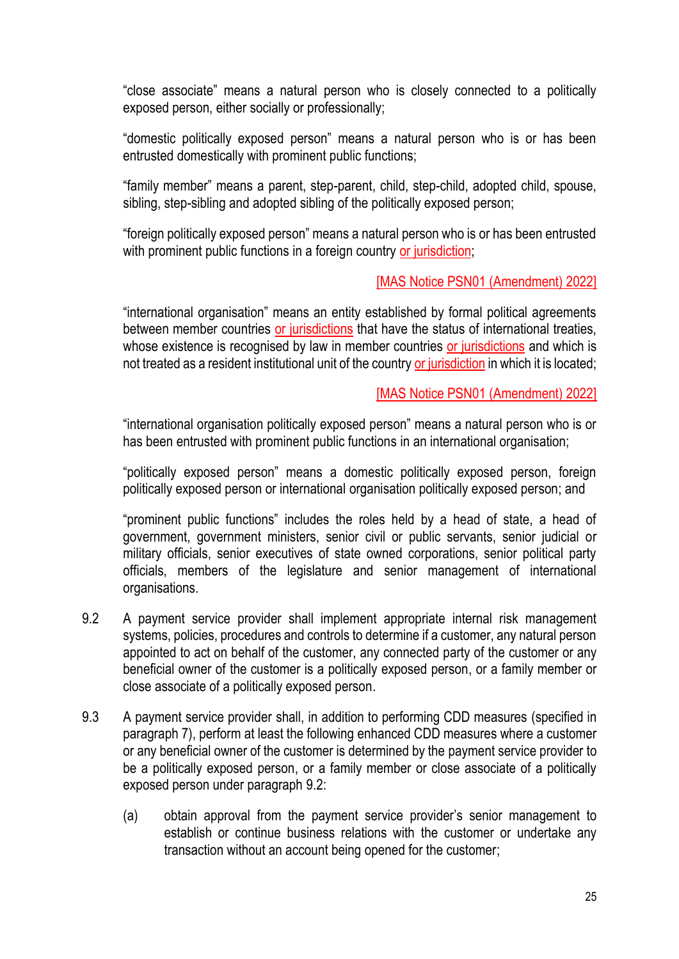"close associate" means a natural person who is closely connected to a politically exposed person, either socially or professionally;

"domestic politically exposed person" means a natural person who is or has been entrusted domestically with prominent public functions;

"family member" means a parent, step-parent, child, step-child, adopted child, spouse, sibling, step-sibling and adopted sibling of the politically exposed person;

"foreign politically exposed person" means a natural person who is or has been entrusted with prominent public functions in a foreign country or jurisdiction;

## [MAS Notice PSN01 (Amendment) 2022]

"international organisation" means an entity established by formal political agreements between member countries or jurisdictions that have the status of international treaties, whose existence is recognised by law in member countries or jurisdictions and which is not treated as a resident institutional unit of the country or jurisdiction in which it is located;

## [MAS Notice PSN01 (Amendment) 2022]

"international organisation politically exposed person" means a natural person who is or has been entrusted with prominent public functions in an international organisation;

"politically exposed person" means a domestic politically exposed person, foreign politically exposed person or international organisation politically exposed person; and

"prominent public functions" includes the roles held by a head of state, a head of government, government ministers, senior civil or public servants, senior judicial or military officials, senior executives of state owned corporations, senior political party officials, members of the legislature and senior management of international organisations.

- 9.2 A payment service provider shall implement appropriate internal risk management systems, policies, procedures and controls to determine if a customer, any natural person appointed to act on behalf of the customer, any connected party of the customer or any beneficial owner of the customer is a politically exposed person, or a family member or close associate of a politically exposed person.
- 9.3 A payment service provider shall, in addition to performing CDD measures (specified in paragraph 7), perform at least the following enhanced CDD measures where a customer or any beneficial owner of the customer is determined by the payment service provider to be a politically exposed person, or a family member or close associate of a politically exposed person under paragraph 9.2:
	- (a) obtain approval from the payment service provider's senior management to establish or continue business relations with the customer or undertake any transaction without an account being opened for the customer;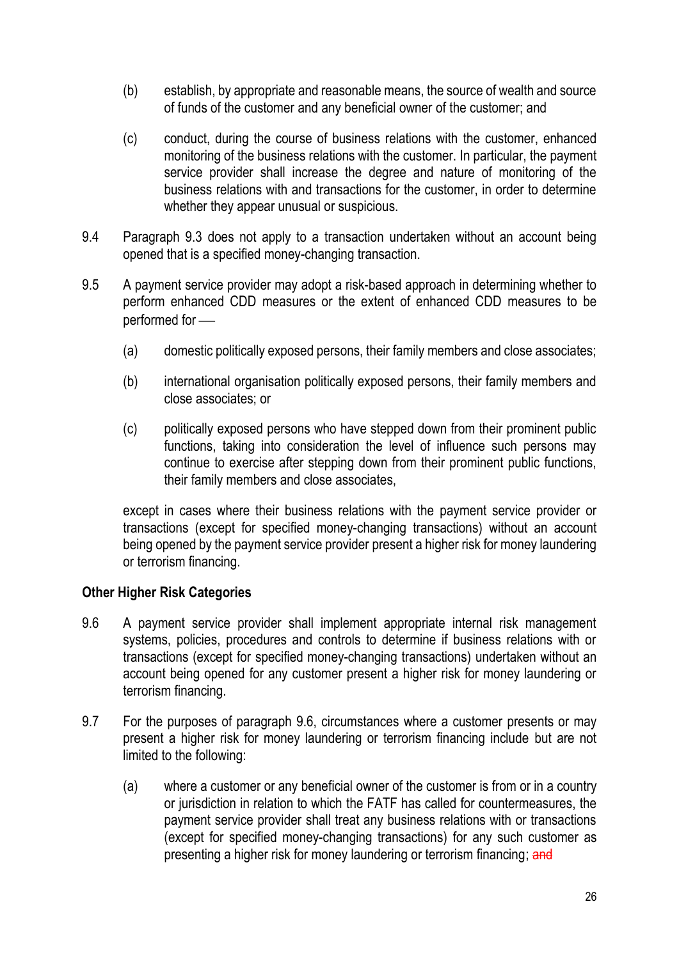- (b) establish, by appropriate and reasonable means, the source of wealth and source of funds of the customer and any beneficial owner of the customer; and
- (c) conduct, during the course of business relations with the customer, enhanced monitoring of the business relations with the customer. In particular, the payment service provider shall increase the degree and nature of monitoring of the business relations with and transactions for the customer, in order to determine whether they appear unusual or suspicious.
- 9.4 Paragraph 9.3 does not apply to a transaction undertaken without an account being opened that is a specified money-changing transaction.
- 9.5 A payment service provider may adopt a risk-based approach in determining whether to perform enhanced CDD measures or the extent of enhanced CDD measures to be performed for  $-$ 
	- (a) domestic politically exposed persons, their family members and close associates;
	- (b) international organisation politically exposed persons, their family members and close associates; or
	- (c) politically exposed persons who have stepped down from their prominent public functions, taking into consideration the level of influence such persons may continue to exercise after stepping down from their prominent public functions, their family members and close associates,

except in cases where their business relations with the payment service provider or transactions (except for specified money-changing transactions) without an account being opened by the payment service provider present a higher risk for money laundering or terrorism financing.

## **Other Higher Risk Categories**

- 9.6 A payment service provider shall implement appropriate internal risk management systems, policies, procedures and controls to determine if business relations with or transactions (except for specified money-changing transactions) undertaken without an account being opened for any customer present a higher risk for money laundering or terrorism financing.
- 9.7 For the purposes of paragraph 9.6, circumstances where a customer presents or may present a higher risk for money laundering or terrorism financing include but are not limited to the following:
	- (a) where a customer or any beneficial owner of the customer is from or in a country or jurisdiction in relation to which the FATF has called for countermeasures, the payment service provider shall treat any business relations with or transactions (except for specified money-changing transactions) for any such customer as presenting a higher risk for money laundering or terrorism financing; and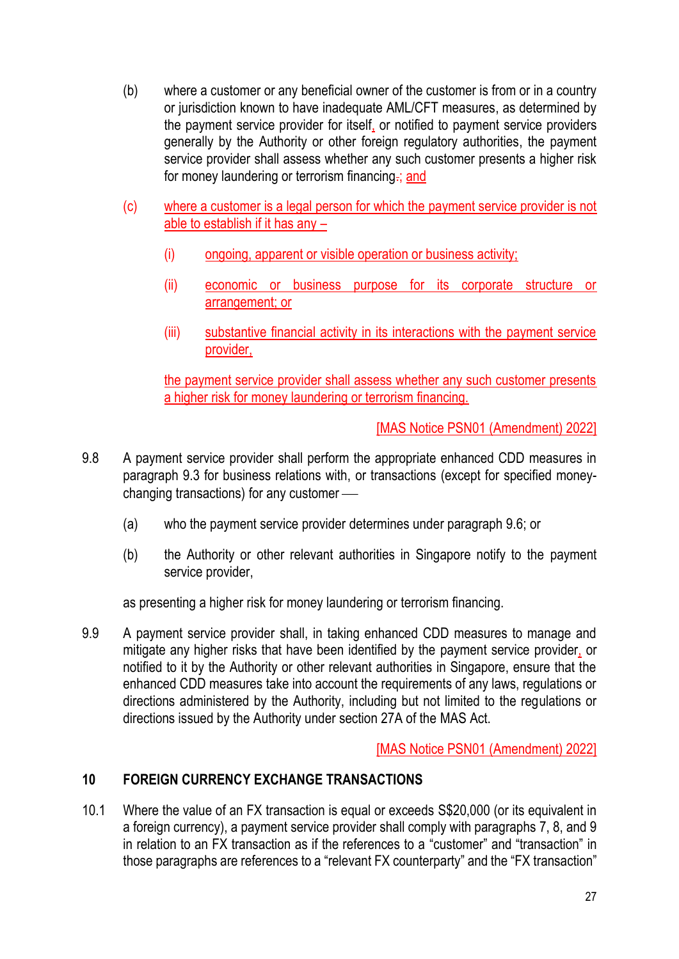- (b) where a customer or any beneficial owner of the customer is from or in a country or jurisdiction known to have inadequate AML/CFT measures, as determined by the payment service provider for itself, or notified to payment service providers generally by the Authority or other foreign regulatory authorities, the payment service provider shall assess whether any such customer presents a higher risk for money laundering or terrorism financing.; and
- (c) where a customer is a legal person for which the payment service provider is not able to establish if it has any –
	- (i) ongoing, apparent or visible operation or business activity;
	- (ii) economic or business purpose for its corporate structure or arrangement; or
	- (iii) substantive financial activity in its interactions with the payment service provider,

the payment service provider shall assess whether any such customer presents a higher risk for money laundering or terrorism financing.

[MAS Notice PSN01 (Amendment) 2022]

- 9.8 A payment service provider shall perform the appropriate enhanced CDD measures in paragraph 9.3 for business relations with, or transactions (except for specified moneychanging transactions) for any customer  $\equiv$ 
	- (a) who the payment service provider determines under paragraph 9.6; or
	- (b) the Authority or other relevant authorities in Singapore notify to the payment service provider,

as presenting a higher risk for money laundering or terrorism financing.

9.9 A payment service provider shall, in taking enhanced CDD measures to manage and mitigate any higher risks that have been identified by the payment service provider, or notified to it by the Authority or other relevant authorities in Singapore, ensure that the enhanced CDD measures take into account the requirements of any laws, regulations or directions administered by the Authority, including but not limited to the regulations or directions issued by the Authority under section 27A of the MAS Act.

[MAS Notice PSN01 (Amendment) 2022]

# **10 FOREIGN CURRENCY EXCHANGE TRANSACTIONS**

10.1 Where the value of an FX transaction is equal or exceeds S\$20,000 (or its equivalent in a foreign currency), a payment service provider shall comply with paragraphs 7, 8, and 9 in relation to an FX transaction as if the references to a "customer" and "transaction" in those paragraphs are references to a "relevant FX counterparty" and the "FX transaction"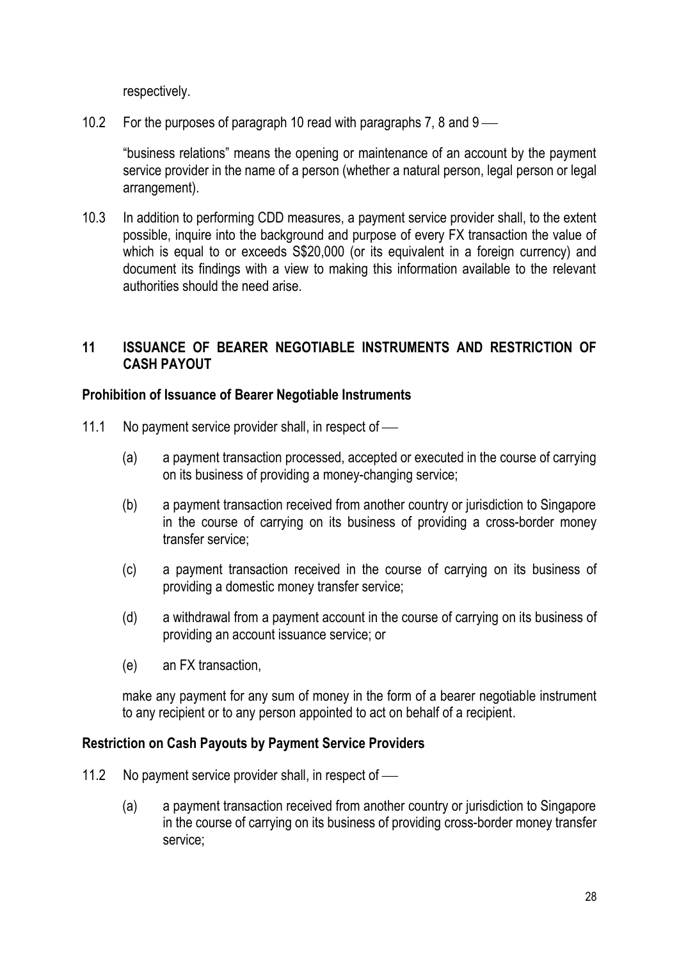respectively.

10.2 For the purposes of paragraph 10 read with paragraphs 7, 8 and  $9 - \alpha$ 

"business relations" means the opening or maintenance of an account by the payment service provider in the name of a person (whether a natural person, legal person or legal arrangement).

10.3 In addition to performing CDD measures, a payment service provider shall, to the extent possible, inquire into the background and purpose of every FX transaction the value of which is equal to or exceeds  $$20,000$  (or its equivalent in a foreign currency) and document its findings with a view to making this information available to the relevant authorities should the need arise.

# **11 ISSUANCE OF BEARER NEGOTIABLE INSTRUMENTS AND RESTRICTION OF CASH PAYOUT**

## **Prohibition of Issuance of Bearer Negotiable Instruments**

- 11.1 No payment service provider shall, in respect of  $\equiv$ 
	- (a) a payment transaction processed, accepted or executed in the course of carrying on its business of providing a money-changing service;
	- (b) a payment transaction received from another country or jurisdiction to Singapore in the course of carrying on its business of providing a cross-border money transfer service;
	- (c) a payment transaction received in the course of carrying on its business of providing a domestic money transfer service;
	- (d) a withdrawal from a payment account in the course of carrying on its business of providing an account issuance service; or
	- (e) an FX transaction,

make any payment for any sum of money in the form of a bearer negotiable instrument to any recipient or to any person appointed to act on behalf of a recipient.

## **Restriction on Cash Payouts by Payment Service Providers**

- 11.2 No payment service provider shall, in respect of  $\equiv$ 
	- (a) a payment transaction received from another country or jurisdiction to Singapore in the course of carrying on its business of providing cross-border money transfer service;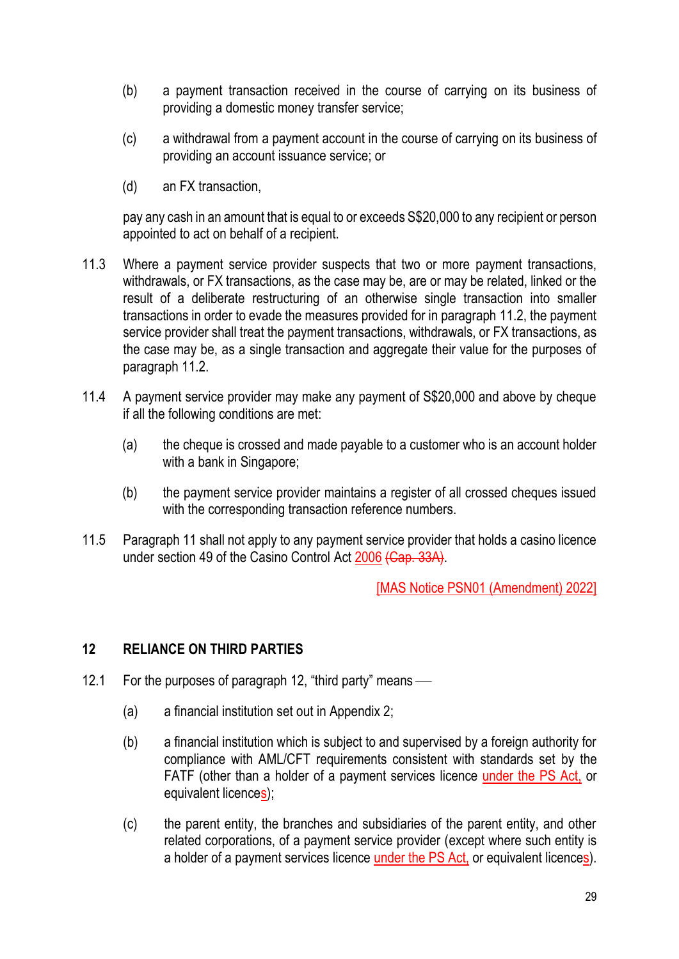- (b) a payment transaction received in the course of carrying on its business of providing a domestic money transfer service;
- (c) a withdrawal from a payment account in the course of carrying on its business of providing an account issuance service; or
- (d) an FX transaction,

pay any cash in an amount that is equal to or exceeds S\$20,000 to any recipient or person appointed to act on behalf of a recipient.

- 11.3 Where a payment service provider suspects that two or more payment transactions, withdrawals, or FX transactions, as the case may be, are or may be related, linked or the result of a deliberate restructuring of an otherwise single transaction into smaller transactions in order to evade the measures provided for in paragraph 11.2, the payment service provider shall treat the payment transactions, withdrawals, or FX transactions, as the case may be, as a single transaction and aggregate their value for the purposes of paragraph 11.2.
- 11.4 A payment service provider may make any payment of S\$20,000 and above by cheque if all the following conditions are met:
	- (a) the cheque is crossed and made payable to a customer who is an account holder with a bank in Singapore;
	- (b) the payment service provider maintains a register of all crossed cheques issued with the corresponding transaction reference numbers.
- 11.5 Paragraph 11 shall not apply to any payment service provider that holds a casino licence under section 49 of the Casino Control Act 2006 (Cap. 33A).

[MAS Notice PSN01 (Amendment) 2022]

# **12 RELIANCE ON THIRD PARTIES**

- 12.1 For the purposes of paragraph 12, "third party" means  $\frac{1}{\sqrt{2}}$ 
	- (a) a financial institution set out in Appendix 2;
	- (b) a financial institution which is subject to and supervised by a foreign authority for compliance with AML/CFT requirements consistent with standards set by the FATF (other than a holder of a payment services licence under the PS Act, or equivalent licences);
	- (c) the parent entity, the branches and subsidiaries of the parent entity, and other related corporations, of a payment service provider (except where such entity is a holder of a payment services licence under the PS Act, or equivalent licences).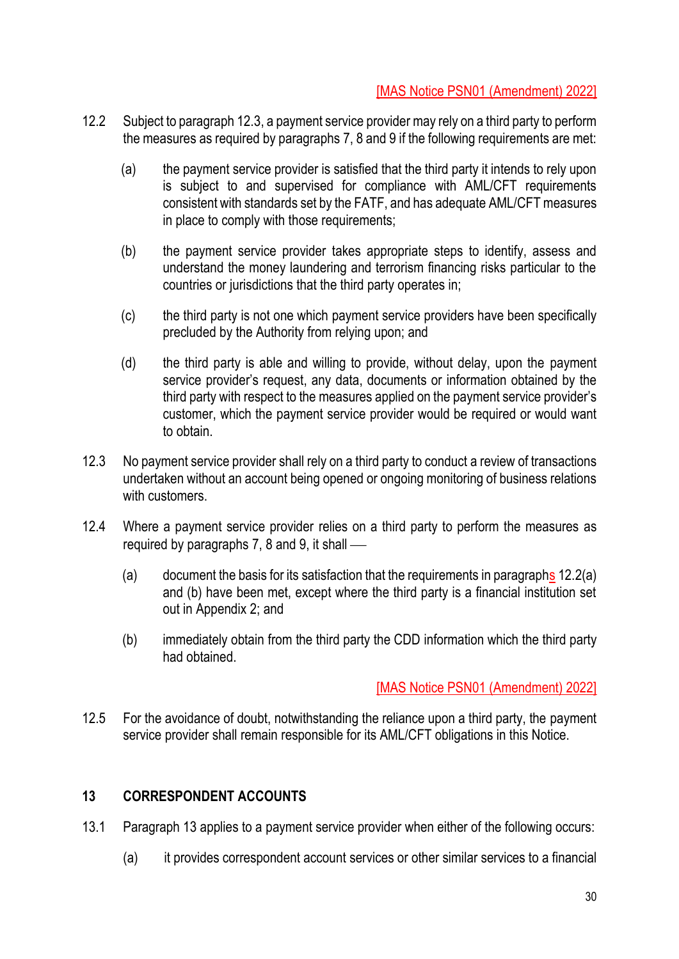# [MAS Notice PSN01 (Amendment) 2022]

- 12.2 Subject to paragraph 12.3, a payment service provider may rely on a third party to perform the measures as required by paragraphs 7, 8 and 9 if the following requirements are met:
	- (a) the payment service provider is satisfied that the third party it intends to rely upon is subject to and supervised for compliance with AML/CFT requirements consistent with standards set by the FATF, and has adequate AML/CFT measures in place to comply with those requirements;
	- (b) the payment service provider takes appropriate steps to identify, assess and understand the money laundering and terrorism financing risks particular to the countries or jurisdictions that the third party operates in;
	- (c) the third party is not one which payment service providers have been specifically precluded by the Authority from relying upon; and
	- (d) the third party is able and willing to provide, without delay, upon the payment service provider's request, any data, documents or information obtained by the third party with respect to the measures applied on the payment service provider's customer, which the payment service provider would be required or would want to obtain.
- 12.3 No payment service provider shall rely on a third party to conduct a review of transactions undertaken without an account being opened or ongoing monitoring of business relations with customers.
- 12.4 Where a payment service provider relies on a third party to perform the measures as required by paragraphs 7, 8 and 9, it shall  $\sim$ 
	- (a) document the basis for its satisfaction that the requirements in paragraphs 12.2(a) and (b) have been met, except where the third party is a financial institution set out in Appendix 2; and
	- (b) immediately obtain from the third party the CDD information which the third party had obtained.

## [MAS Notice PSN01 (Amendment) 2022]

12.5 For the avoidance of doubt, notwithstanding the reliance upon a third party, the payment service provider shall remain responsible for its AML/CFT obligations in this Notice.

## **13 CORRESPONDENT ACCOUNTS**

- 13.1 Paragraph 13 applies to a payment service provider when either of the following occurs:
	- (a) it provides correspondent account services or other similar services to a financial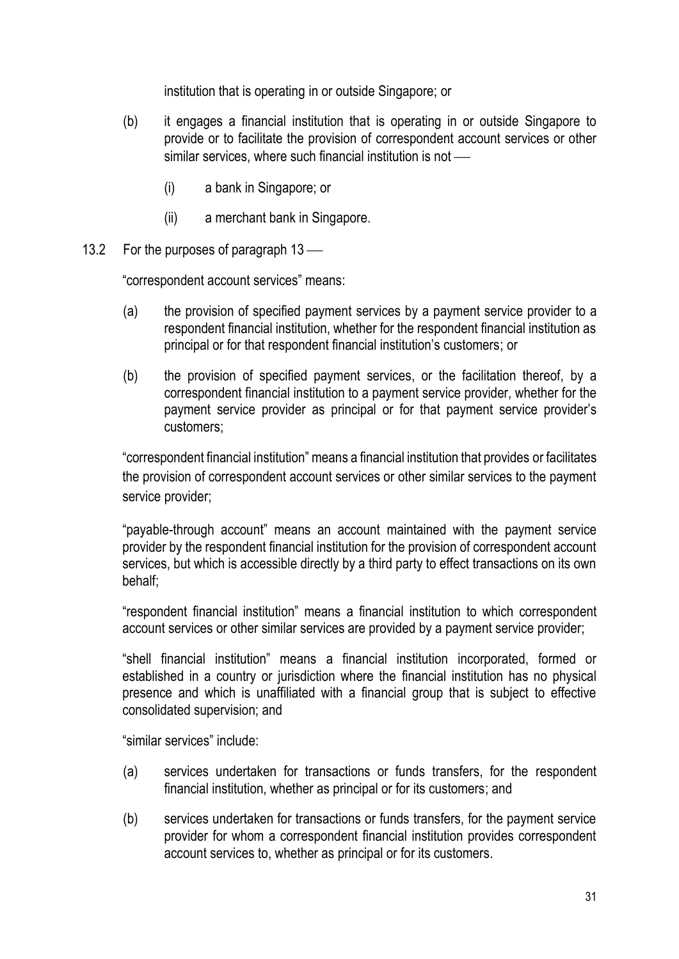institution that is operating in or outside Singapore; or

- (b) it engages a financial institution that is operating in or outside Singapore to provide or to facilitate the provision of correspondent account services or other similar services, where such financial institution is not  $\equiv$ 
	- (i) a bank in Singapore; or
	- (ii) a merchant bank in Singapore.
- 13.2 For the purposes of paragraph  $13$  —

"correspondent account services" means:

- (a) the provision of specified payment services by a payment service provider to a respondent financial institution, whether for the respondent financial institution as principal or for that respondent financial institution's customers; or
- (b) the provision of specified payment services, or the facilitation thereof, by a correspondent financial institution to a payment service provider, whether for the payment service provider as principal or for that payment service provider's customers;

"correspondent financial institution" means a financial institution that provides or facilitates the provision of correspondent account services or other similar services to the payment service provider:

"payable-through account" means an account maintained with the payment service provider by the respondent financial institution for the provision of correspondent account services, but which is accessible directly by a third party to effect transactions on its own behalf;

"respondent financial institution" means a financial institution to which correspondent account services or other similar services are provided by a payment service provider;

"shell financial institution" means a financial institution incorporated, formed or established in a country or jurisdiction where the financial institution has no physical presence and which is unaffiliated with a financial group that is subject to effective consolidated supervision; and

"similar services" include:

- (a) services undertaken for transactions or funds transfers, for the respondent financial institution, whether as principal or for its customers; and
- (b) services undertaken for transactions or funds transfers, for the payment service provider for whom a correspondent financial institution provides correspondent account services to, whether as principal or for its customers.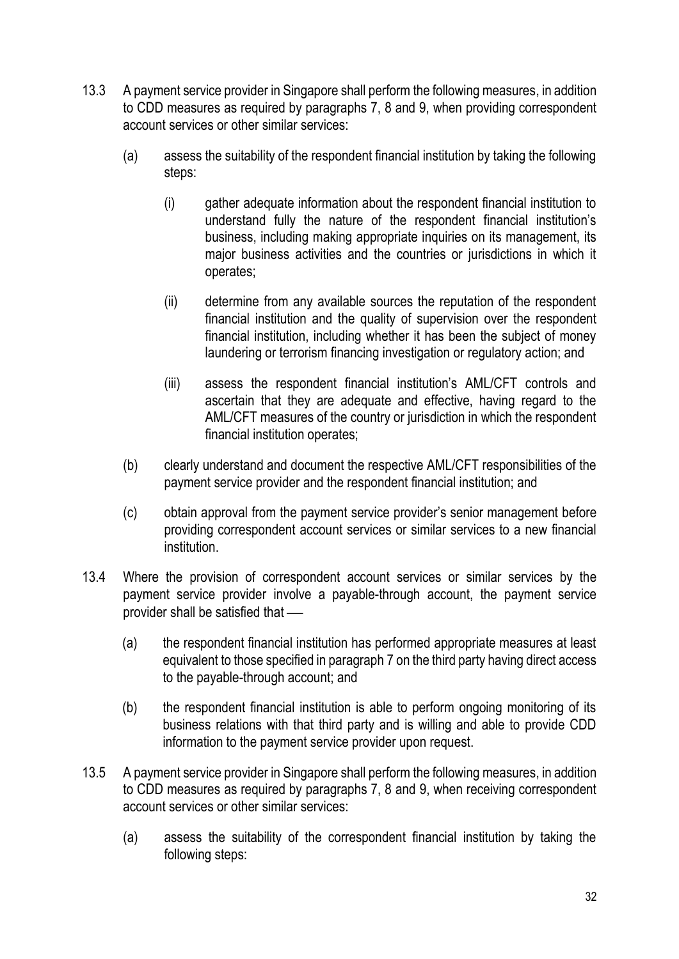- 13.3 A payment service provider in Singapore shall perform the following measures, in addition to CDD measures as required by paragraphs 7, 8 and 9, when providing correspondent account services or other similar services:
	- (a) assess the suitability of the respondent financial institution by taking the following steps:
		- (i) gather adequate information about the respondent financial institution to understand fully the nature of the respondent financial institution's business, including making appropriate inquiries on its management, its major business activities and the countries or jurisdictions in which it operates;
		- (ii) determine from any available sources the reputation of the respondent financial institution and the quality of supervision over the respondent financial institution, including whether it has been the subject of money laundering or terrorism financing investigation or regulatory action; and
		- (iii) assess the respondent financial institution's AML/CFT controls and ascertain that they are adequate and effective, having regard to the AML/CFT measures of the country or jurisdiction in which the respondent financial institution operates;
	- (b) clearly understand and document the respective AML/CFT responsibilities of the payment service provider and the respondent financial institution; and
	- (c) obtain approval from the payment service provider's senior management before providing correspondent account services or similar services to a new financial institution.
- 13.4 Where the provision of correspondent account services or similar services by the payment service provider involve a payable-through account, the payment service provider shall be satisfied that  $-$ 
	- (a) the respondent financial institution has performed appropriate measures at least equivalent to those specified in paragraph 7 on the third party having direct access to the payable-through account; and
	- (b) the respondent financial institution is able to perform ongoing monitoring of its business relations with that third party and is willing and able to provide CDD information to the payment service provider upon request.
- 13.5 A payment service provider in Singapore shall perform the following measures, in addition to CDD measures as required by paragraphs 7, 8 and 9, when receiving correspondent account services or other similar services:
	- (a) assess the suitability of the correspondent financial institution by taking the following steps: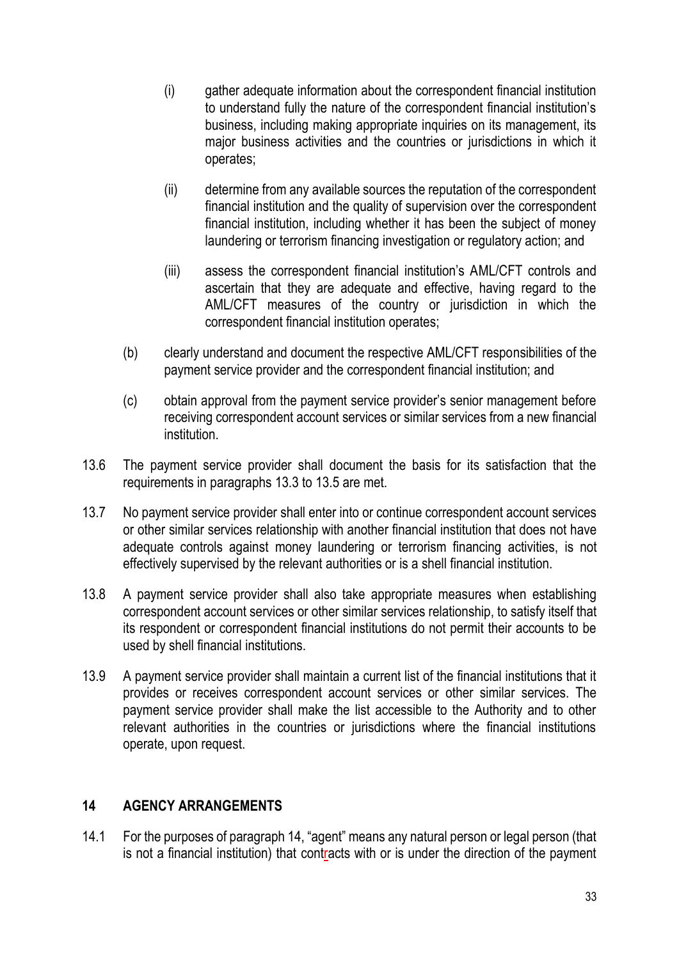- (i) gather adequate information about the correspondent financial institution to understand fully the nature of the correspondent financial institution's business, including making appropriate inquiries on its management, its major business activities and the countries or jurisdictions in which it operates;
- (ii) determine from any available sources the reputation of the correspondent financial institution and the quality of supervision over the correspondent financial institution, including whether it has been the subject of money laundering or terrorism financing investigation or regulatory action; and
- (iii) assess the correspondent financial institution's AML/CFT controls and ascertain that they are adequate and effective, having regard to the AML/CFT measures of the country or jurisdiction in which the correspondent financial institution operates;
- (b) clearly understand and document the respective AML/CFT responsibilities of the payment service provider and the correspondent financial institution; and
- (c) obtain approval from the payment service provider's senior management before receiving correspondent account services or similar services from a new financial institution.
- 13.6 The payment service provider shall document the basis for its satisfaction that the requirements in paragraphs 13.3 to 13.5 are met.
- 13.7 No payment service provider shall enter into or continue correspondent account services or other similar services relationship with another financial institution that does not have adequate controls against money laundering or terrorism financing activities, is not effectively supervised by the relevant authorities or is a shell financial institution.
- 13.8 A payment service provider shall also take appropriate measures when establishing correspondent account services or other similar services relationship, to satisfy itself that its respondent or correspondent financial institutions do not permit their accounts to be used by shell financial institutions.
- 13.9 A payment service provider shall maintain a current list of the financial institutions that it provides or receives correspondent account services or other similar services. The payment service provider shall make the list accessible to the Authority and to other relevant authorities in the countries or jurisdictions where the financial institutions operate, upon request.

## **14 AGENCY ARRANGEMENTS**

14.1 For the purposes of paragraph 14, "agent" means any natural person or legal person (that is not a financial institution) that contracts with or is under the direction of the payment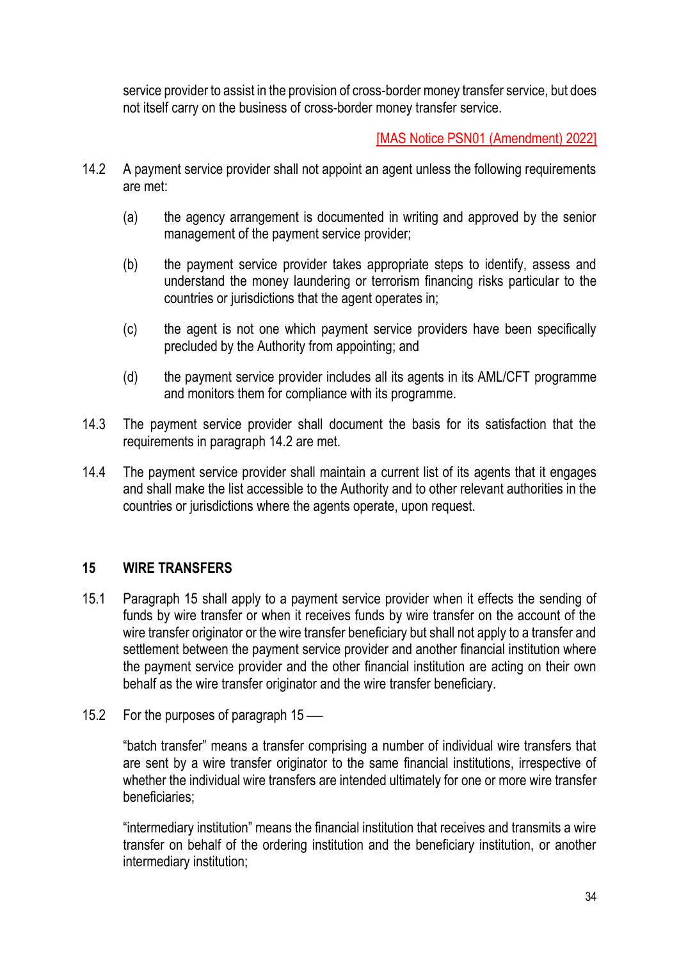service provider to assist in the provision of cross-border money transfer service, but does not itself carry on the business of cross-border money transfer service.

[MAS Notice PSN01 (Amendment) 2022]

- 14.2 A payment service provider shall not appoint an agent unless the following requirements are met:
	- (a) the agency arrangement is documented in writing and approved by the senior management of the payment service provider;
	- (b) the payment service provider takes appropriate steps to identify, assess and understand the money laundering or terrorism financing risks particular to the countries or jurisdictions that the agent operates in;
	- (c) the agent is not one which payment service providers have been specifically precluded by the Authority from appointing; and
	- (d) the payment service provider includes all its agents in its AML/CFT programme and monitors them for compliance with its programme.
- 14.3 The payment service provider shall document the basis for its satisfaction that the requirements in paragraph 14.2 are met.
- 14.4 The payment service provider shall maintain a current list of its agents that it engages and shall make the list accessible to the Authority and to other relevant authorities in the countries or jurisdictions where the agents operate, upon request.

# **15 WIRE TRANSFERS**

- 15.1 Paragraph 15 shall apply to a payment service provider when it effects the sending of funds by wire transfer or when it receives funds by wire transfer on the account of the wire transfer originator or the wire transfer beneficiary but shall not apply to a transfer and settlement between the payment service provider and another financial institution where the payment service provider and the other financial institution are acting on their own behalf as the wire transfer originator and the wire transfer beneficiary.
- 15.2 For the purposes of paragraph  $15$  —

"batch transfer" means a transfer comprising a number of individual wire transfers that are sent by a wire transfer originator to the same financial institutions, irrespective of whether the individual wire transfers are intended ultimately for one or more wire transfer beneficiaries;

"intermediary institution" means the financial institution that receives and transmits a wire transfer on behalf of the ordering institution and the beneficiary institution, or another intermediary institution;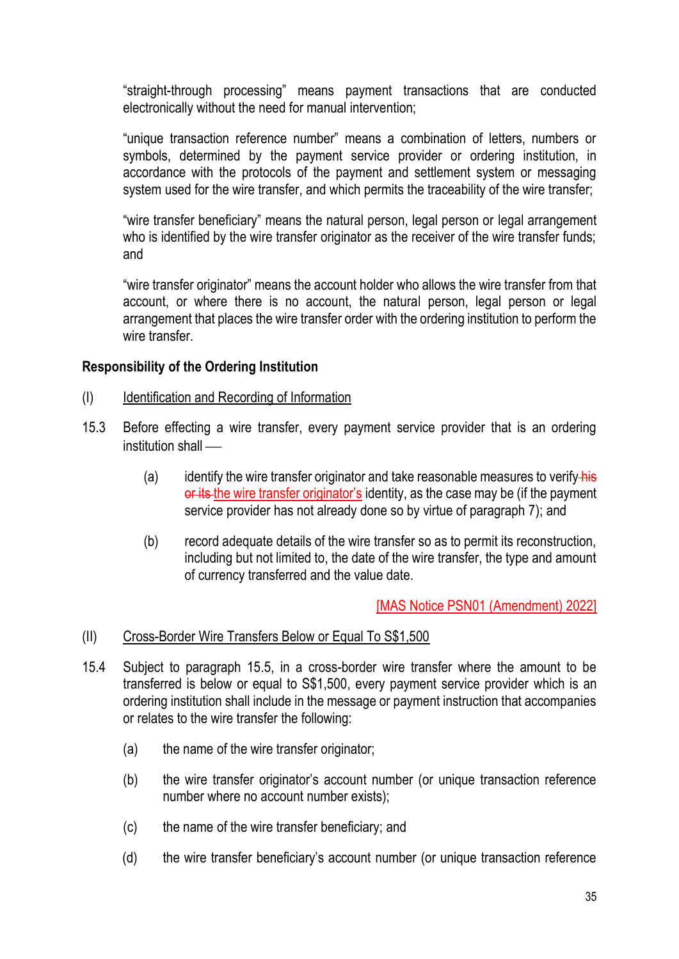"straight-through processing" means payment transactions that are conducted electronically without the need for manual intervention;

"unique transaction reference number" means a combination of letters, numbers or symbols, determined by the payment service provider or ordering institution, in accordance with the protocols of the payment and settlement system or messaging system used for the wire transfer, and which permits the traceability of the wire transfer;

"wire transfer beneficiary" means the natural person, legal person or legal arrangement who is identified by the wire transfer originator as the receiver of the wire transfer funds; and

"wire transfer originator" means the account holder who allows the wire transfer from that account, or where there is no account, the natural person, legal person or legal arrangement that places the wire transfer order with the ordering institution to perform the wire transfer

## **Responsibility of the Ordering Institution**

- (I) Identification and Recording of Information
- 15.3 Before effecting a wire transfer, every payment service provider that is an ordering institution shall  $-$ 
	- (a) identify the wire transfer originator and take reasonable measures to verify his or its the wire transfer originator's identity, as the case may be (if the payment service provider has not already done so by virtue of paragraph 7); and
	- (b) record adequate details of the wire transfer so as to permit its reconstruction, including but not limited to, the date of the wire transfer, the type and amount of currency transferred and the value date.

[MAS Notice PSN01 (Amendment) 2022]

- (II) Cross-Border Wire Transfers Below or Equal To S\$1,500
- 15.4 Subject to paragraph 15.5, in a cross-border wire transfer where the amount to be transferred is below or equal to S\$1,500, every payment service provider which is an ordering institution shall include in the message or payment instruction that accompanies or relates to the wire transfer the following:
	- (a) the name of the wire transfer originator;
	- (b) the wire transfer originator's account number (or unique transaction reference number where no account number exists);
	- (c) the name of the wire transfer beneficiary; and
	- (d) the wire transfer beneficiary's account number (or unique transaction reference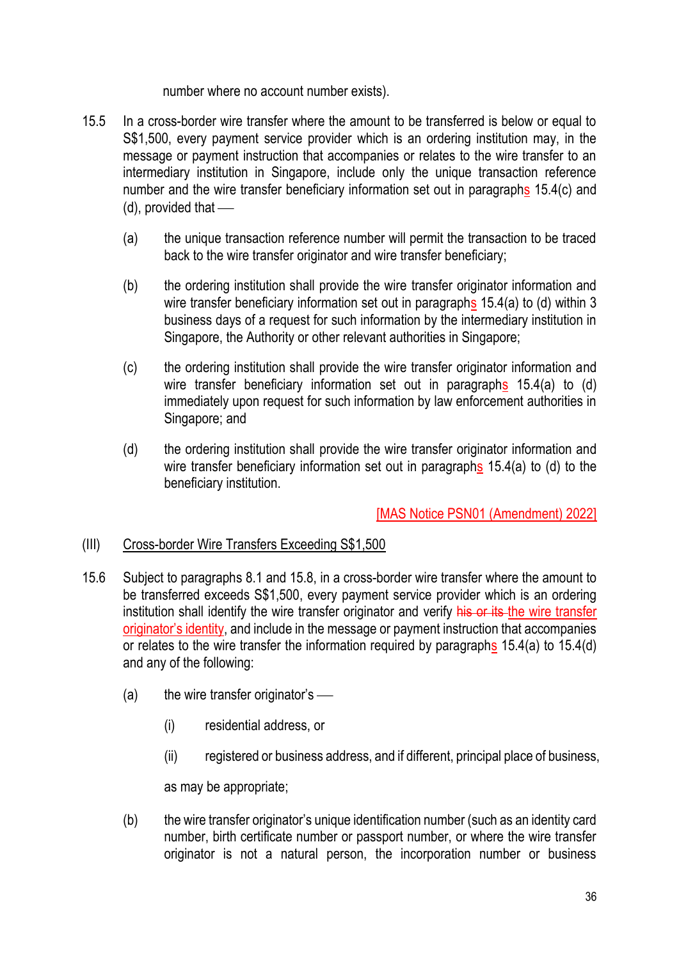number where no account number exists).

- 15.5 In a cross-border wire transfer where the amount to be transferred is below or equal to S\$1,500, every payment service provider which is an ordering institution may, in the message or payment instruction that accompanies or relates to the wire transfer to an intermediary institution in Singapore, include only the unique transaction reference number and the wire transfer beneficiary information set out in paragraphs 15.4(c) and  $(d)$ , provided that  $-$ 
	- (a) the unique transaction reference number will permit the transaction to be traced back to the wire transfer originator and wire transfer beneficiary;
	- (b) the ordering institution shall provide the wire transfer originator information and wire transfer beneficiary information set out in paragraphs 15.4(a) to (d) within 3 business days of a request for such information by the intermediary institution in Singapore, the Authority or other relevant authorities in Singapore;
	- (c) the ordering institution shall provide the wire transfer originator information and wire transfer beneficiary information set out in paragraphs 15.4(a) to (d) immediately upon request for such information by law enforcement authorities in Singapore; and
	- (d) the ordering institution shall provide the wire transfer originator information and wire transfer beneficiary information set out in paragraphs 15.4(a) to (d) to the beneficiary institution.

[MAS Notice PSN01 (Amendment) 2022]

# (III) Cross-border Wire Transfers Exceeding S\$1,500

- 15.6 Subject to paragraphs 8.1 and 15.8, in a cross-border wire transfer where the amount to be transferred exceeds S\$1,500, every payment service provider which is an ordering institution shall identify the wire transfer originator and verify his or its the wire transfer originator's identity, and include in the message or payment instruction that accompanies or relates to the wire transfer the information required by paragraphs 15.4(a) to 15.4(d) and any of the following:
	- (a) the wire transfer originator's  $\frac{1}{\sqrt{2\pi}}$ 
		- (i) residential address, or
		- (ii) registered or business address, and if different, principal place of business,

as may be appropriate;

(b) the wire transfer originator's unique identification number (such as an identity card number, birth certificate number or passport number, or where the wire transfer originator is not a natural person, the incorporation number or business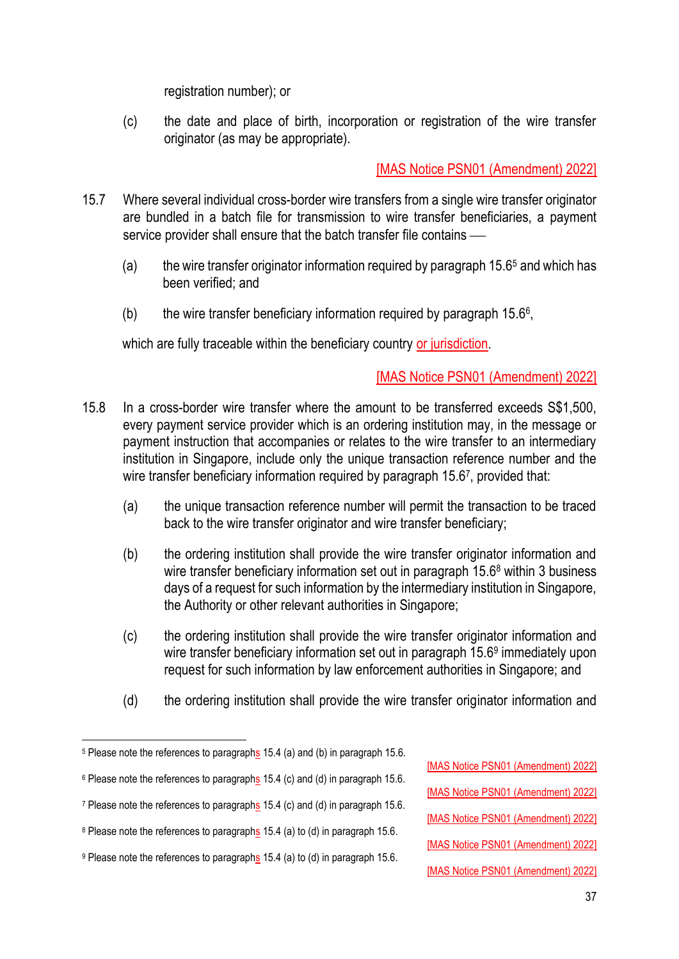registration number); or

(c) the date and place of birth, incorporation or registration of the wire transfer originator (as may be appropriate).

[MAS Notice PSN01 (Amendment) 2022]

- 15.7 Where several individual cross-border wire transfers from a single wire transfer originator are bundled in a batch file for transmission to wire transfer beneficiaries, a payment service provider shall ensure that the batch transfer file contains —
	- (a) the wire transfer originator information required by paragraph  $15.6<sup>5</sup>$  and which has been verified; and
	- (b) the wire transfer beneficiary information required by paragraph  $15.6^{\circ}$ ,

which are fully traceable within the beneficiary country or jurisdiction.

# [MAS Notice PSN01 (Amendment) 2022]

- 15.8 In a cross-border wire transfer where the amount to be transferred exceeds S\$1,500, every payment service provider which is an ordering institution may, in the message or payment instruction that accompanies or relates to the wire transfer to an intermediary institution in Singapore, include only the unique transaction reference number and the wire transfer beneficiary information required by paragraph 15.67, provided that:
	- (a) the unique transaction reference number will permit the transaction to be traced back to the wire transfer originator and wire transfer beneficiary;
	- (b) the ordering institution shall provide the wire transfer originator information and wire transfer beneficiary information set out in paragraph 15.6<sup>8</sup> within 3 business days of a request for such information by the intermediary institution in Singapore, the Authority or other relevant authorities in Singapore;
	- (c) the ordering institution shall provide the wire transfer originator information and wire transfer beneficiary information set out in paragraph 15.6<sup>9</sup> immediately upon request for such information by law enforcement authorities in Singapore; and
	- (d) the ordering institution shall provide the wire transfer originator information and

[MAS Notice PSN01 (Amendment) 2022]

[MAS Notice PSN01 (Amendment) 2022]

[MAS Notice PSN01 (Amendment) 2022]

[MAS Notice PSN01 (Amendment) 2022]

[MAS Notice PSN01 (Amendment) 2022]

<sup>&</sup>lt;sup>5</sup> Please note the references to paragraphs 15.4 (a) and (b) in paragraph 15.6.

<sup>&</sup>lt;sup>6</sup> Please note the references to paragraphs 15.4 (c) and (d) in paragraph 15.6.

<sup>7</sup> Please note the references to paragraphs 15.4 (c) and (d) in paragraph 15.6.

<sup>8</sup> Please note the references to paragraphs 15.4 (a) to (d) in paragraph 15.6.

<sup>9</sup> Please note the references to paragraphs 15.4 (a) to (d) in paragraph 15.6.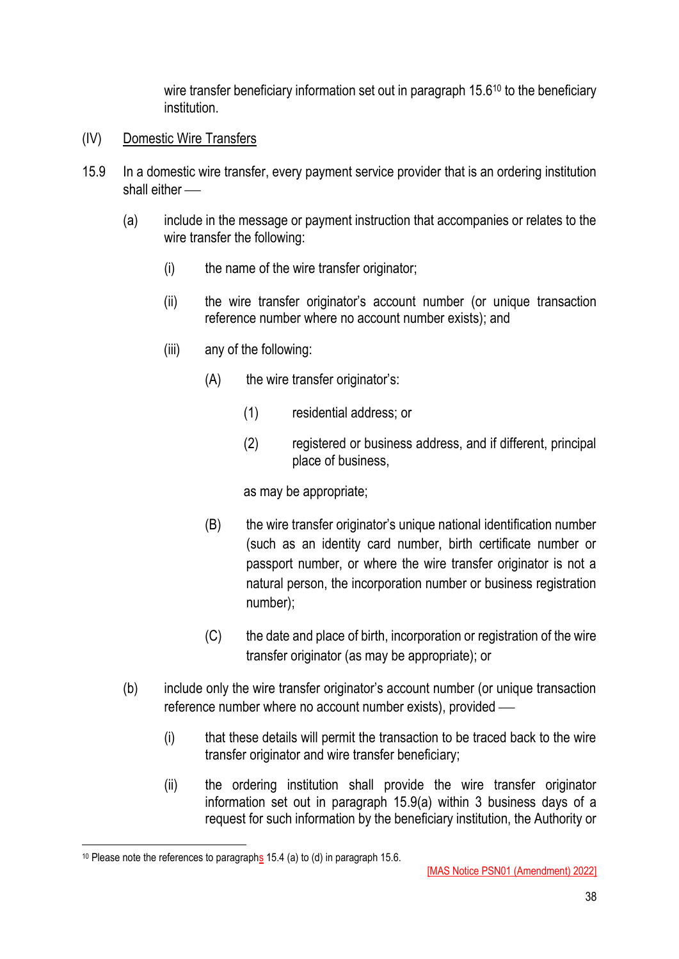wire transfer beneficiary information set out in paragraph 15.6<sup>10</sup> to the beneficiary institution.

- (IV) Domestic Wire Transfers
- 15.9 In a domestic wire transfer, every payment service provider that is an ordering institution shall either  $\equiv$ 
	- (a) include in the message or payment instruction that accompanies or relates to the wire transfer the following:
		- (i) the name of the wire transfer originator;
		- (ii) the wire transfer originator's account number (or unique transaction reference number where no account number exists); and
		- (iii) any of the following:
			- (A) the wire transfer originator's:
				- (1) residential address; or
				- (2) registered or business address, and if different, principal place of business,

as may be appropriate;

- (B) the wire transfer originator's unique national identification number (such as an identity card number, birth certificate number or passport number, or where the wire transfer originator is not a natural person, the incorporation number or business registration number);
- (C) the date and place of birth, incorporation or registration of the wire transfer originator (as may be appropriate); or
- (b) include only the wire transfer originator's account number (or unique transaction reference number where no account number exists), provided  $-$ 
	- (i) that these details will permit the transaction to be traced back to the wire transfer originator and wire transfer beneficiary;
	- (ii) the ordering institution shall provide the wire transfer originator information set out in paragraph 15.9(a) within 3 business days of a request for such information by the beneficiary institution, the Authority or

<sup>&</sup>lt;sup>10</sup> Please note the references to paragraphs 15.4 (a) to (d) in paragraph 15.6.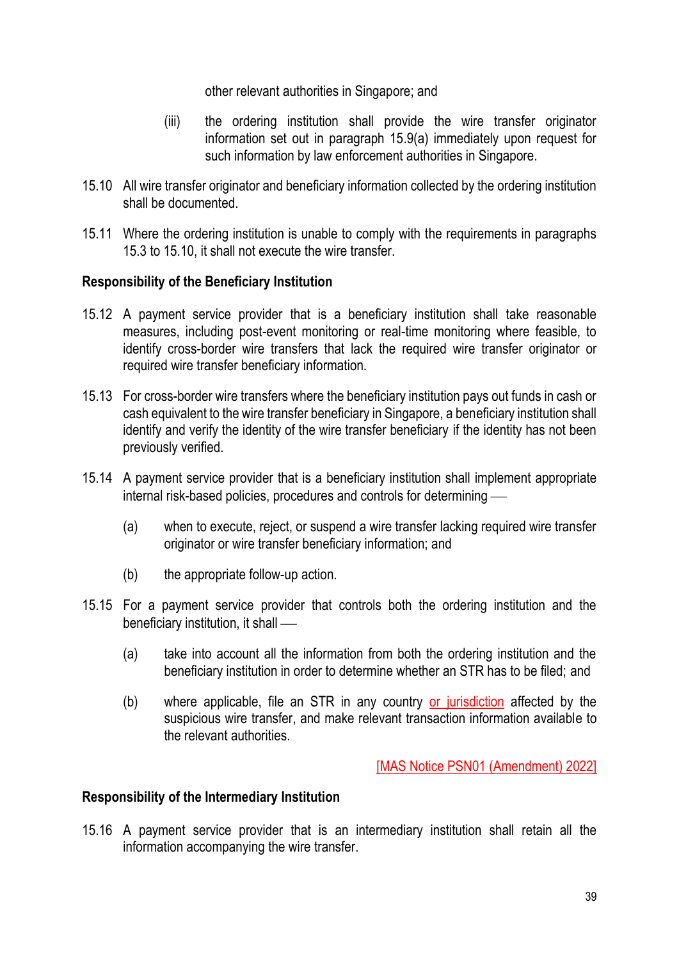other relevant authorities in Singapore; and

- (iii) the ordering institution shall provide the wire transfer originator information set out in paragraph 15.9(a) immediately upon request for such information by law enforcement authorities in Singapore.
- 15.10 All wire transfer originator and beneficiary information collected by the ordering institution shall be documented.
- 15.11 Where the ordering institution is unable to comply with the requirements in paragraphs 15.3 to 15.10, it shall not execute the wire transfer.

## **Responsibility of the Beneficiary Institution**

- 15.12 A payment service provider that is a beneficiary institution shall take reasonable measures, including post-event monitoring or real-time monitoring where feasible, to identify cross-border wire transfers that lack the required wire transfer originator or required wire transfer beneficiary information.
- 15.13 For cross-border wire transfers where the beneficiary institution pays out funds in cash or cash equivalent to the wire transfer beneficiary in Singapore, a beneficiary institution shall identify and verify the identity of the wire transfer beneficiary if the identity has not been previously verified.
- 15.14 A payment service provider that is a beneficiary institution shall implement appropriate internal risk-based policies, procedures and controls for determining –
	- (a) when to execute, reject, or suspend a wire transfer lacking required wire transfer originator or wire transfer beneficiary information; and
	- (b) the appropriate follow-up action.
- 15.15 For a payment service provider that controls both the ordering institution and the beneficiary institution, it shall —
	- (a) take into account all the information from both the ordering institution and the beneficiary institution in order to determine whether an STR has to be filed; and
	- (b) where applicable, file an STR in any country or jurisdiction affected by the suspicious wire transfer, and make relevant transaction information available to the relevant authorities.

[MAS Notice PSN01 (Amendment) 2022]

## **Responsibility of the Intermediary Institution**

15.16 A payment service provider that is an intermediary institution shall retain all the information accompanying the wire transfer.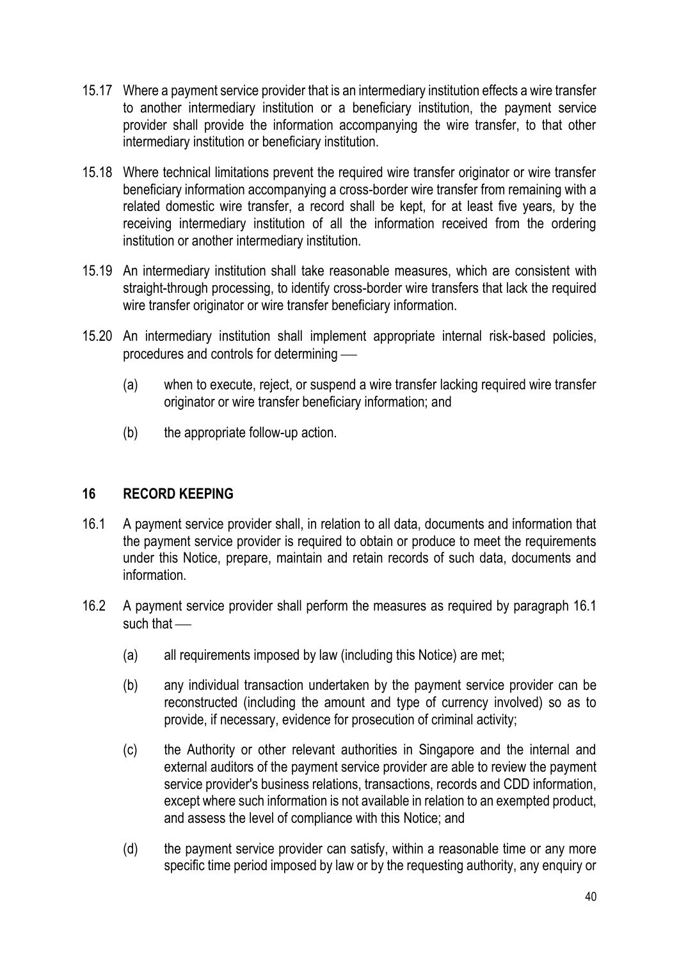- 15.17 Where a payment service provider that is an intermediary institution effects a wire transfer to another intermediary institution or a beneficiary institution, the payment service provider shall provide the information accompanying the wire transfer, to that other intermediary institution or beneficiary institution.
- 15.18 Where technical limitations prevent the required wire transfer originator or wire transfer beneficiary information accompanying a cross-border wire transfer from remaining with a related domestic wire transfer, a record shall be kept, for at least five years, by the receiving intermediary institution of all the information received from the ordering institution or another intermediary institution.
- 15.19 An intermediary institution shall take reasonable measures, which are consistent with straight-through processing, to identify cross-border wire transfers that lack the required wire transfer originator or wire transfer beneficiary information.
- 15.20 An intermediary institution shall implement appropriate internal risk-based policies, procedures and controls for determining —
	- (a) when to execute, reject, or suspend a wire transfer lacking required wire transfer originator or wire transfer beneficiary information; and
	- (b) the appropriate follow-up action.

## **16 RECORD KEEPING**

- 16.1 A payment service provider shall, in relation to all data, documents and information that the payment service provider is required to obtain or produce to meet the requirements under this Notice, prepare, maintain and retain records of such data, documents and information.
- 16.2 A payment service provider shall perform the measures as required by paragraph 16.1 such that  $-$ 
	- (a) all requirements imposed by law (including this Notice) are met;
	- (b) any individual transaction undertaken by the payment service provider can be reconstructed (including the amount and type of currency involved) so as to provide, if necessary, evidence for prosecution of criminal activity;
	- (c) the Authority or other relevant authorities in Singapore and the internal and external auditors of the payment service provider are able to review the payment service provider's business relations, transactions, records and CDD information, except where such information is not available in relation to an exempted product, and assess the level of compliance with this Notice; and
	- (d) the payment service provider can satisfy, within a reasonable time or any more specific time period imposed by law or by the requesting authority, any enquiry or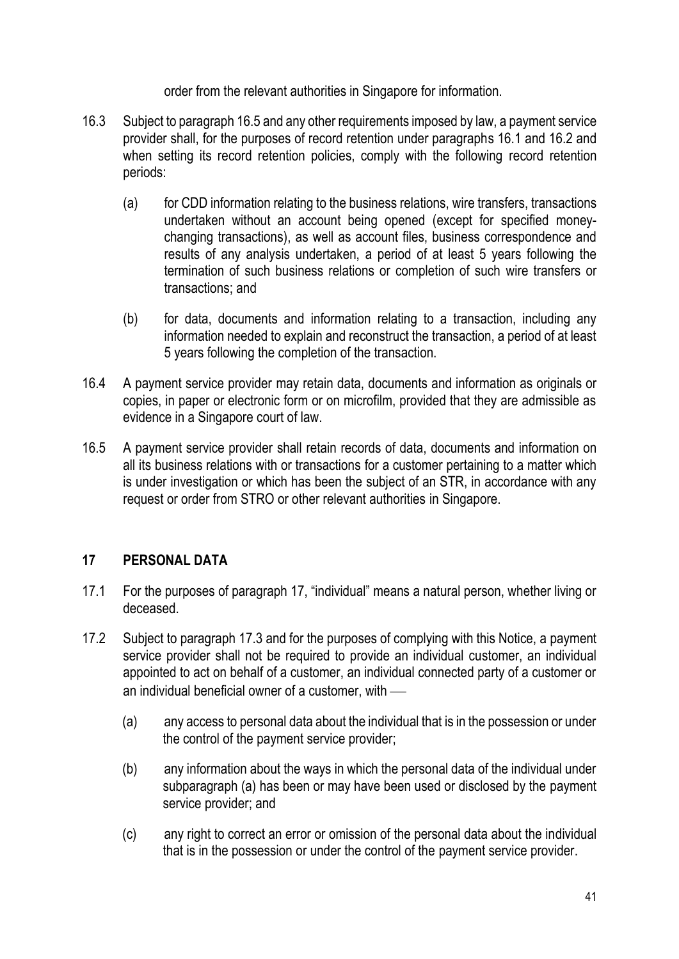order from the relevant authorities in Singapore for information.

- 16.3 Subject to paragraph 16.5 and any other requirements imposed by law, a payment service provider shall, for the purposes of record retention under paragraphs 16.1 and 16.2 and when setting its record retention policies, comply with the following record retention periods:
	- (a) for CDD information relating to the business relations, wire transfers, transactions undertaken without an account being opened (except for specified moneychanging transactions), as well as account files, business correspondence and results of any analysis undertaken, a period of at least 5 years following the termination of such business relations or completion of such wire transfers or transactions; and
	- (b) for data, documents and information relating to a transaction, including any information needed to explain and reconstruct the transaction, a period of at least 5 years following the completion of the transaction.
- 16.4 A payment service provider may retain data, documents and information as originals or copies, in paper or electronic form or on microfilm, provided that they are admissible as evidence in a Singapore court of law.
- 16.5 A payment service provider shall retain records of data, documents and information on all its business relations with or transactions for a customer pertaining to a matter which is under investigation or which has been the subject of an STR, in accordance with any request or order from STRO or other relevant authorities in Singapore.

# **17 PERSONAL DATA**

- 17.1 For the purposes of paragraph 17, "individual" means a natural person, whether living or deceased.
- 17.2 Subject to paragraph 17.3 and for the purposes of complying with this Notice, a payment service provider shall not be required to provide an individual customer, an individual appointed to act on behalf of a customer, an individual connected party of a customer or an individual beneficial owner of a customer, with  $-$ 
	- (a) any access to personal data about the individual that is in the possession or under the control of the payment service provider;
	- (b) any information about the ways in which the personal data of the individual under subparagraph (a) has been or may have been used or disclosed by the payment service provider; and
	- (c) any right to correct an error or omission of the personal data about the individual that is in the possession or under the control of the payment service provider.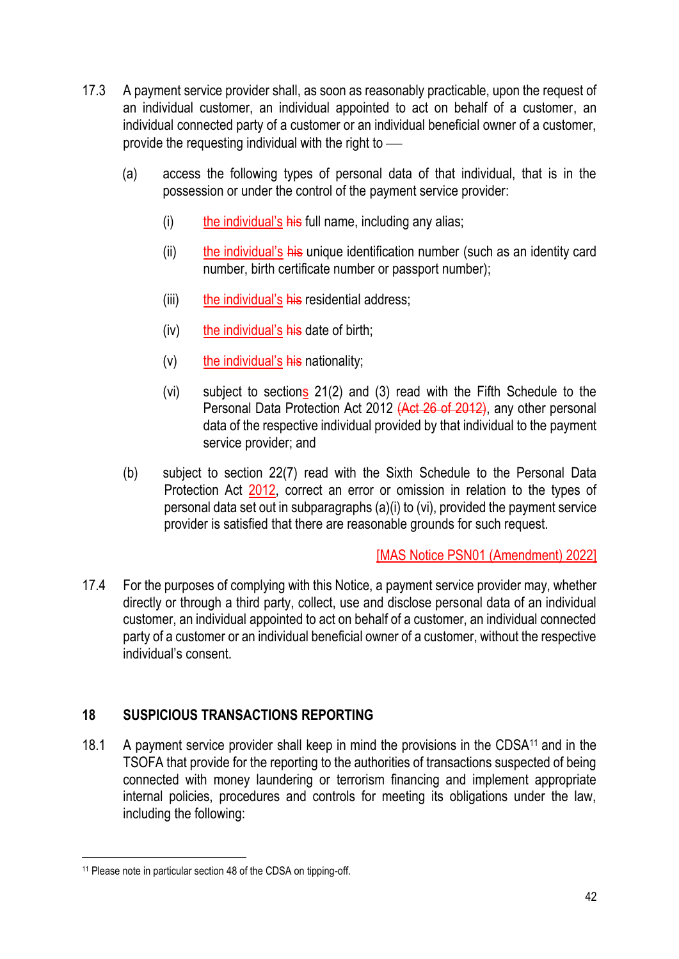- 17.3 A payment service provider shall, as soon as reasonably practicable, upon the request of an individual customer, an individual appointed to act on behalf of a customer, an individual connected party of a customer or an individual beneficial owner of a customer, provide the requesting individual with the right to  $\sim$ 
	- (a) access the following types of personal data of that individual, that is in the possession or under the control of the payment service provider:
		- $(i)$  the individual's his full name, including any alias;
		- (ii) the individual's his unique identification number (such as an identity card number, birth certificate number or passport number);
		- (iii) the individual's his residential address;
		- $(iv)$  the individual's his date of birth;
		- $(v)$  the individual's his nationality;
		- (vi) subject to sections 21(2) and (3) read with the Fifth Schedule to the Personal Data Protection Act 2012 (Act 26 of 2012), any other personal data of the respective individual provided by that individual to the payment service provider; and
	- (b) subject to section 22(7) read with the Sixth Schedule to the Personal Data Protection Act 2012, correct an error or omission in relation to the types of personal data set out in subparagraphs (a)(i) to (vi), provided the payment service provider is satisfied that there are reasonable grounds for such request.

[MAS Notice PSN01 (Amendment) 2022]

17.4 For the purposes of complying with this Notice, a payment service provider may, whether directly or through a third party, collect, use and disclose personal data of an individual customer, an individual appointed to act on behalf of a customer, an individual connected party of a customer or an individual beneficial owner of a customer, without the respective individual's consent.

# **18 SUSPICIOUS TRANSACTIONS REPORTING**

18.1 A payment service provider shall keep in mind the provisions in the CDSA<sup>11</sup> and in the TSOFA that provide for the reporting to the authorities of transactions suspected of being connected with money laundering or terrorism financing and implement appropriate internal policies, procedures and controls for meeting its obligations under the law, including the following:

<sup>11</sup> Please note in particular section 48 of the CDSA on tipping-off.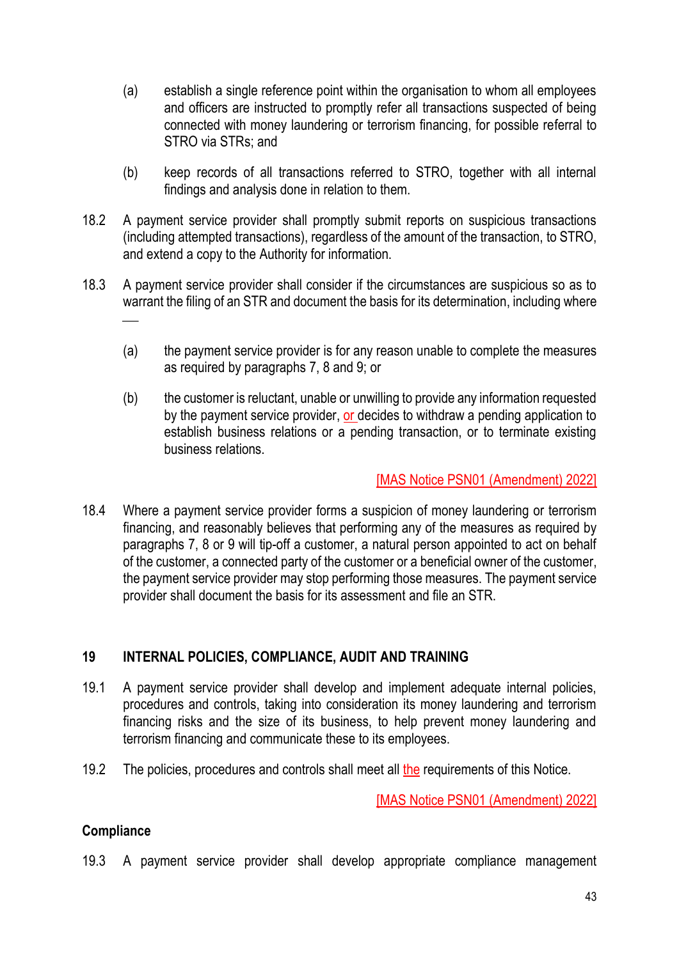- (a) establish a single reference point within the organisation to whom all employees and officers are instructed to promptly refer all transactions suspected of being connected with money laundering or terrorism financing, for possible referral to STRO via STRs; and
- (b) keep records of all transactions referred to STRO, together with all internal findings and analysis done in relation to them.
- 18.2 A payment service provider shall promptly submit reports on suspicious transactions (including attempted transactions), regardless of the amount of the transaction, to STRO, and extend a copy to the Authority for information.
- 18.3 A payment service provider shall consider if the circumstances are suspicious so as to warrant the filing of an STR and document the basis for its determination, including where  $\overline{\phantom{a}}$ 
	- (a) the payment service provider is for any reason unable to complete the measures as required by paragraphs 7, 8 and 9; or
	- (b) the customer is reluctant, unable or unwilling to provide any information requested by the payment service provider, or decides to withdraw a pending application to establish business relations or a pending transaction, or to terminate existing business relations.

## [MAS Notice PSN01 (Amendment) 2022]

18.4 Where a payment service provider forms a suspicion of money laundering or terrorism financing, and reasonably believes that performing any of the measures as required by paragraphs 7, 8 or 9 will tip-off a customer, a natural person appointed to act on behalf of the customer, a connected party of the customer or a beneficial owner of the customer, the payment service provider may stop performing those measures. The payment service provider shall document the basis for its assessment and file an STR.

# **19 INTERNAL POLICIES, COMPLIANCE, AUDIT AND TRAINING**

- 19.1 A payment service provider shall develop and implement adequate internal policies, procedures and controls, taking into consideration its money laundering and terrorism financing risks and the size of its business, to help prevent money laundering and terrorism financing and communicate these to its employees.
- 19.2 The policies, procedures and controls shall meet all the requirements of this Notice.

[MAS Notice PSN01 (Amendment) 2022]

# **Compliance**

19.3 A payment service provider shall develop appropriate compliance management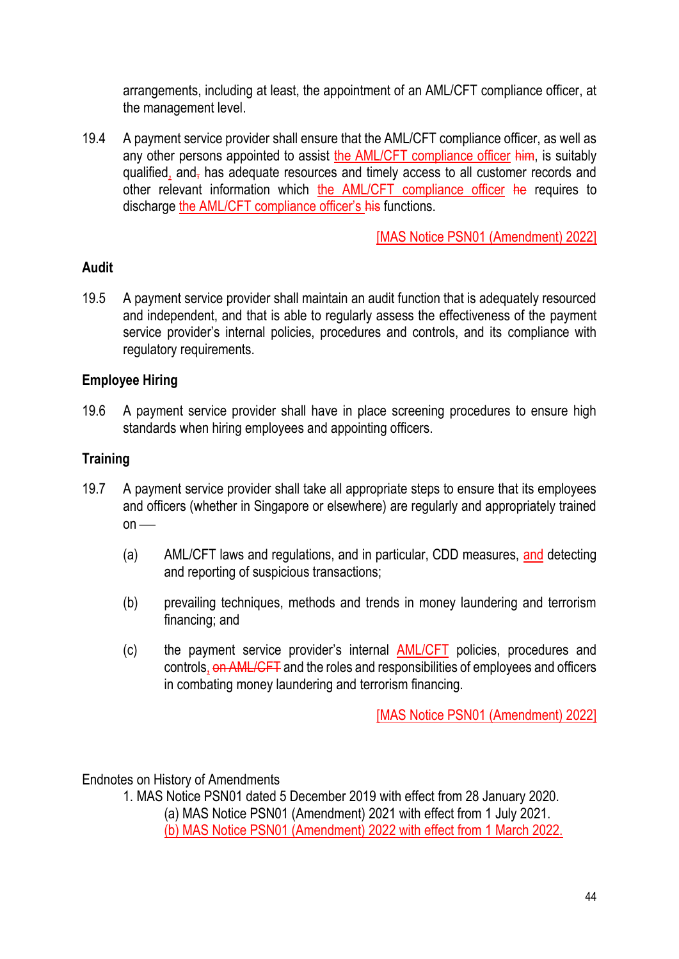arrangements, including at least, the appointment of an AML/CFT compliance officer, at the management level.

19.4 A payment service provider shall ensure that the AML/CFT compliance officer, as well as any other persons appointed to assist the AML/CFT compliance officer him, is suitably qualified, and- has adequate resources and timely access to all customer records and other relevant information which the AML/CFT compliance officer he requires to discharge the **AML/CFT** compliance officer's his functions.

[MAS Notice PSN01 (Amendment) 2022]

# **Audit**

19.5 A payment service provider shall maintain an audit function that is adequately resourced and independent, and that is able to regularly assess the effectiveness of the payment service provider's internal policies, procedures and controls, and its compliance with regulatory requirements.

# **Employee Hiring**

19.6 A payment service provider shall have in place screening procedures to ensure high standards when hiring employees and appointing officers.

## **Training**

- 19.7 A payment service provider shall take all appropriate steps to ensure that its employees and officers (whether in Singapore or elsewhere) are regularly and appropriately trained  $on$  —
	- (a) AML/CFT laws and regulations, and in particular, CDD measures, and detecting and reporting of suspicious transactions;
	- (b) prevailing techniques, methods and trends in money laundering and terrorism financing; and
	- (c) the payment service provider's internal AML/CFT policies, procedures and controls, on AML/CFT and the roles and responsibilities of employees and officers in combating money laundering and terrorism financing.

[MAS Notice PSN01 (Amendment) 2022]

Endnotes on History of Amendments

1. MAS Notice PSN01 dated 5 December 2019 with effect from 28 January 2020. (a) MAS Notice PSN01 (Amendment) 2021 with effect from 1 July 2021. (b) MAS Notice PSN01 (Amendment) 2022 with effect from 1 March 2022.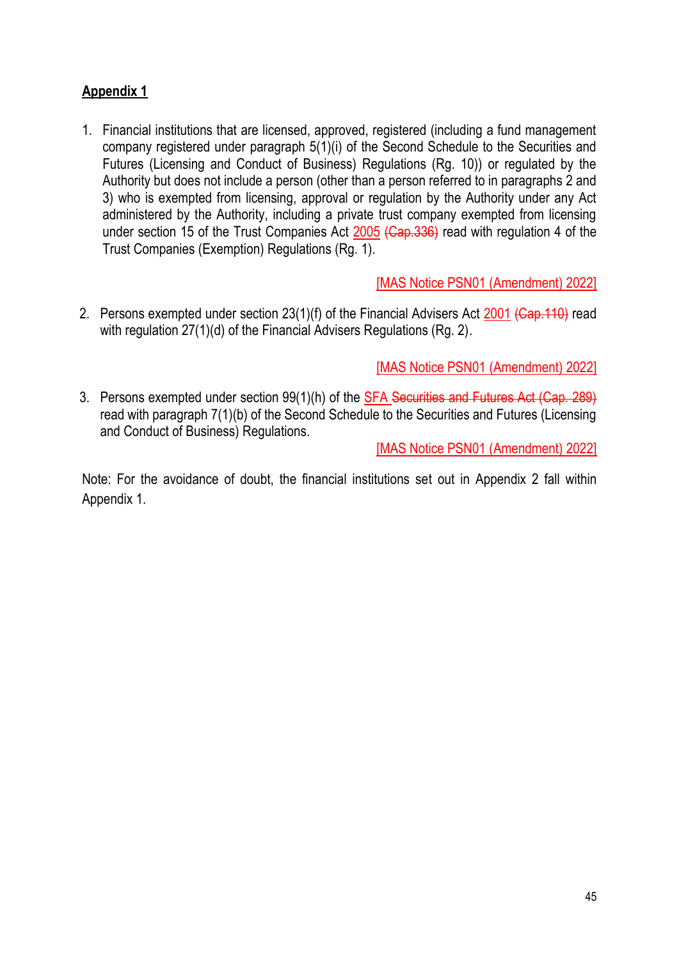# **Appendix 1**

1. Financial institutions that are licensed, approved, registered (including a fund management company registered under paragraph 5(1)(i) of the Second Schedule to the Securities and Futures (Licensing and Conduct of Business) Regulations (Rg. 10)) or regulated by the Authority but does not include a person (other than a person referred to in paragraphs 2 and 3) who is exempted from licensing, approval or regulation by the Authority under any Act administered by the Authority, including a private trust company exempted from licensing under section 15 of the Trust Companies Act 2005 (Cap. 336) read with regulation 4 of the Trust Companies (Exemption) Regulations (Rg. 1).

[MAS Notice PSN01 (Amendment) 2022]

2. Persons exempted under section 23(1)(f) of the Financial Advisers Act 2001 (Cap. 110) read with regulation 27(1)(d) of the Financial Advisers Regulations (Rg. 2).

[MAS Notice PSN01 (Amendment) 2022]

3. Persons exempted under section 99(1)(h) of the SFA Securities and Futures Act (Cap. 289) read with paragraph 7(1)(b) of the Second Schedule to the Securities and Futures (Licensing and Conduct of Business) Regulations.

[MAS Notice PSN01 (Amendment) 2022]

Note: For the avoidance of doubt, the financial institutions set out in Appendix 2 fall within Appendix 1.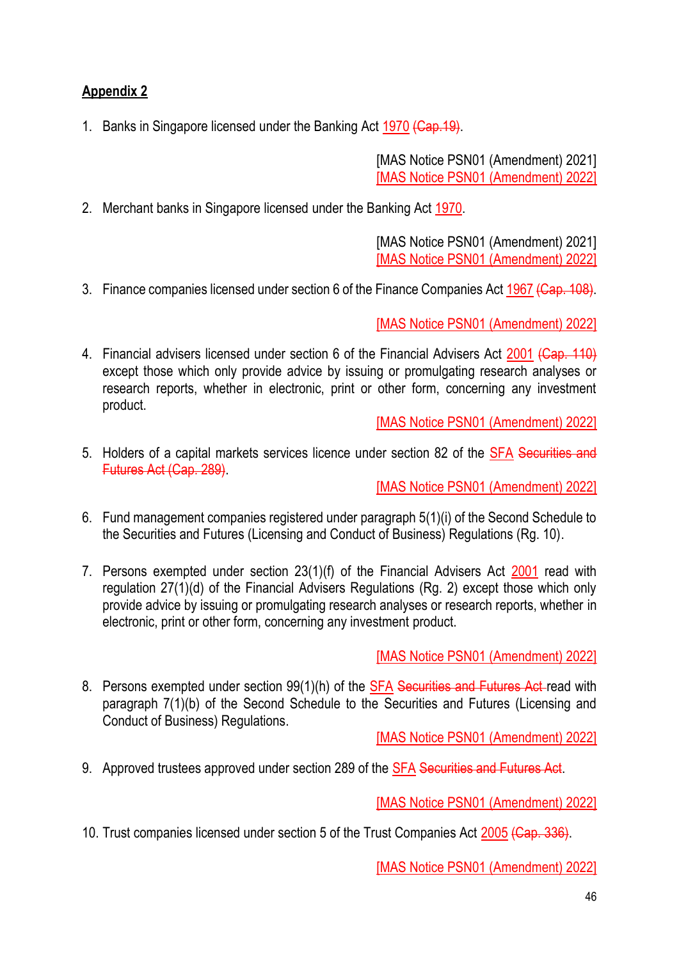# **Appendix 2**

1. Banks in Singapore licensed under the Banking Act 1970 (Cap. 19).

[MAS Notice PSN01 (Amendment) 2021] [MAS Notice PSN01 (Amendment) 2022]

2. Merchant banks in Singapore licensed under the Banking Act 1970.

[MAS Notice PSN01 (Amendment) 2021] [MAS Notice PSN01 (Amendment) 2022]

3. Finance companies licensed under section 6 of the Finance Companies Act 1967 (Cap. 108).

[MAS Notice PSN01 (Amendment) 2022]

4. Financial advisers licensed under section 6 of the Financial Advisers Act 2001 (Cap. 110) except those which only provide advice by issuing or promulgating research analyses or research reports, whether in electronic, print or other form, concerning any investment product.

[MAS Notice PSN01 (Amendment) 2022]

5. Holders of a capital markets services licence under section 82 of the SFA Securities and Futures Act (Cap. 289).

[MAS Notice PSN01 (Amendment) 2022]

- 6. Fund management companies registered under paragraph 5(1)(i) of the Second Schedule to the Securities and Futures (Licensing and Conduct of Business) Regulations (Rg. 10).
- 7. Persons exempted under section 23(1)(f) of the Financial Advisers Act 2001 read with regulation 27(1)(d) of the Financial Advisers Regulations (Rg. 2) except those which only provide advice by issuing or promulgating research analyses or research reports, whether in electronic, print or other form, concerning any investment product.

[MAS Notice PSN01 (Amendment) 2022]

8. Persons exempted under section 99(1)(h) of the SFA Securities and Futures Act read with paragraph 7(1)(b) of the Second Schedule to the Securities and Futures (Licensing and Conduct of Business) Regulations.

[MAS Notice PSN01 (Amendment) 2022]

9. Approved trustees approved under section 289 of the SFA Securities and Futures Act.

[MAS Notice PSN01 (Amendment) 2022]

10. Trust companies licensed under section 5 of the Trust Companies Act 2005 (Cap. 336).

[MAS Notice PSN01 (Amendment) 2022]